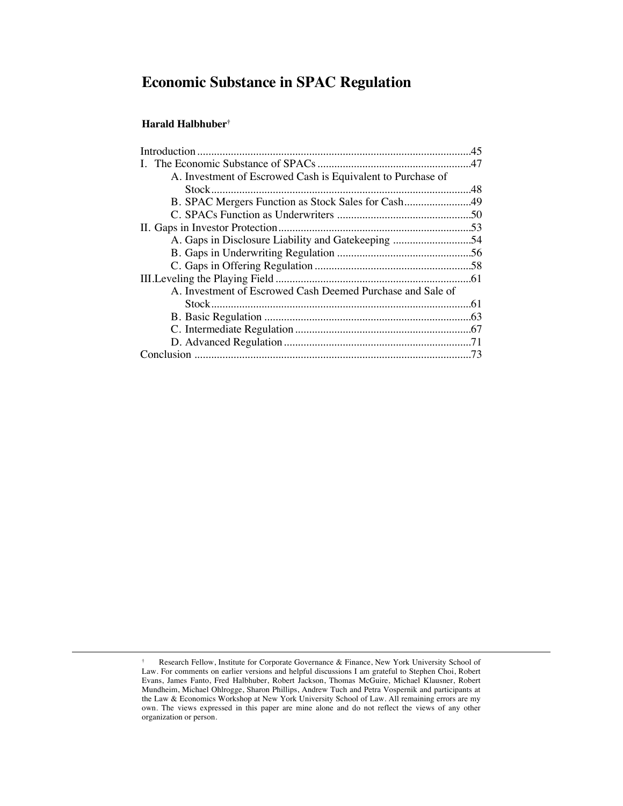# **Economic Substance in SPAC Regulation**

# **Harald Halbhuber†**

<sup>†</sup> Research Fellow, Institute for Corporate Governance & Finance, New York University School of Law. For comments on earlier versions and helpful discussions I am grateful to Stephen Choi, Robert Evans, James Fanto, Fred Halbhuber, Robert Jackson, Thomas McGuire, Michael Klausner, Robert Mundheim, Michael Ohlrogge, Sharon Phillips, Andrew Tuch and Petra Vospernik and participants at the Law & Economics Workshop at New York University School of Law. All remaining errors are my own. The views expressed in this paper are mine alone and do not reflect the views of any other organization or person.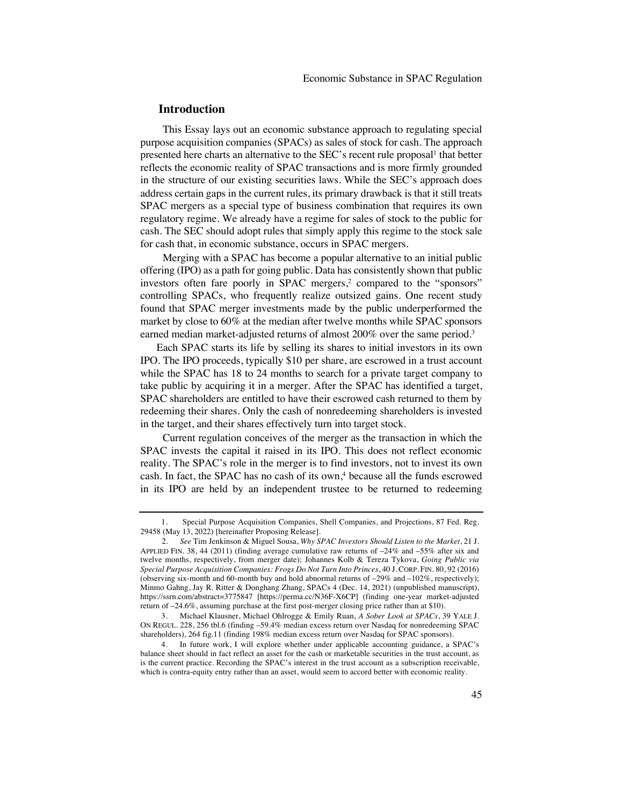# **Introduction**

This Essay lays out an economic substance approach to regulating special purpose acquisition companies (SPACs) as sales of stock for cash. The approach presented here charts an alternative to the SEC's recent rule proposal<sup>1</sup> that better reflects the economic reality of SPAC transactions and is more firmly grounded in the structure of our existing securities laws. While the SEC's approach does address certain gaps in the current rules, its primary drawback is that it still treats SPAC mergers as a special type of business combination that requires its own regulatory regime. We already have a regime for sales of stock to the public for cash. The SEC should adopt rules that simply apply this regime to the stock sale for cash that, in economic substance, occurs in SPAC mergers.

Merging with a SPAC has become a popular alternative to an initial public offering (IPO) as a path for going public. Data has consistently shown that public investors often fare poorly in SPAC mergers,<sup>2</sup> compared to the "sponsors" controlling SPACs, who frequently realize outsized gains. One recent study found that SPAC merger investments made by the public underperformed the market by close to 60% at the median after twelve months while SPAC sponsors earned median market-adjusted returns of almost 200% over the same period.<sup>3</sup>

Each SPAC starts its life by selling its shares to initial investors in its own IPO. The IPO proceeds, typically \$10 per share, are escrowed in a trust account while the SPAC has 18 to 24 months to search for a private target company to take public by acquiring it in a merger. After the SPAC has identified a target, SPAC shareholders are entitled to have their escrowed cash returned to them by redeeming their shares. Only the cash of nonredeeming shareholders is invested in the target, and their shares effectively turn into target stock.

Current regulation conceives of the merger as the transaction in which the SPAC invests the capital it raised in its IPO. This does not reflect economic reality. The SPAC's role in the merger is to find investors, not to invest its own cash. In fact, the SPAC has no cash of its own,<sup>4</sup> because all the funds escrowed in its IPO are held by an independent trustee to be returned to redeeming

<sup>1.</sup> Special Purpose Acquisition Companies, Shell Companies, and Projections, 87 Fed. Reg. 29458 (May 13, 2022) [hereinafter Proposing Release].

<sup>2.</sup> *See* Tim Jenkinson & Miguel Sousa, *Why SPAC Investors Should Listen to the Market*, 21 J. APPLIED FIN. 38, 44 (2011) (finding average cumulative raw returns of –24% and –55% after six and twelve months, respectively, from merger date); Johannes Kolb & Tereza Tykova, *Going Public via Special Purpose Acquisition Companies: Frogs Do Not Turn Into Princes*, 40 J. CORP. FIN. 80, 92 (2016) (observing six-month and 60-month buy and hold abnormal returns of –29% and –102%, respectively); Minmo Gahng, Jay R. Ritter & Donghang Zhang, SPACs 4 (Dec. 14, 2021) (unpublished manuscript), https://ssrn.com/abstract=3775847 [https://perma.cc/N36F-X6CP] (finding one-year market-adjusted return of –24.6%, assuming purchase at the first post-merger closing price rather than at \$10).

<sup>3.</sup> Michael Klausner, Michael Ohlrogge & Emily Ruan, *A Sober Look at SPACs*, 39 YALE J. ON REGUL. 228, 256 tbl.6 (finding –59.4% median excess return over Nasdaq for nonredeeming SPAC shareholders), 264 fig.11 (finding 198% median excess return over Nasdaq for SPAC sponsors).

<sup>4.</sup> In future work, I will explore whether under applicable accounting guidance, a SPAC's balance sheet should in fact reflect an asset for the cash or marketable securities in the trust account, as is the current practice. Recording the SPAC's interest in the trust account as a subscription receivable, which is contra-equity entry rather than an asset, would seem to accord better with economic reality.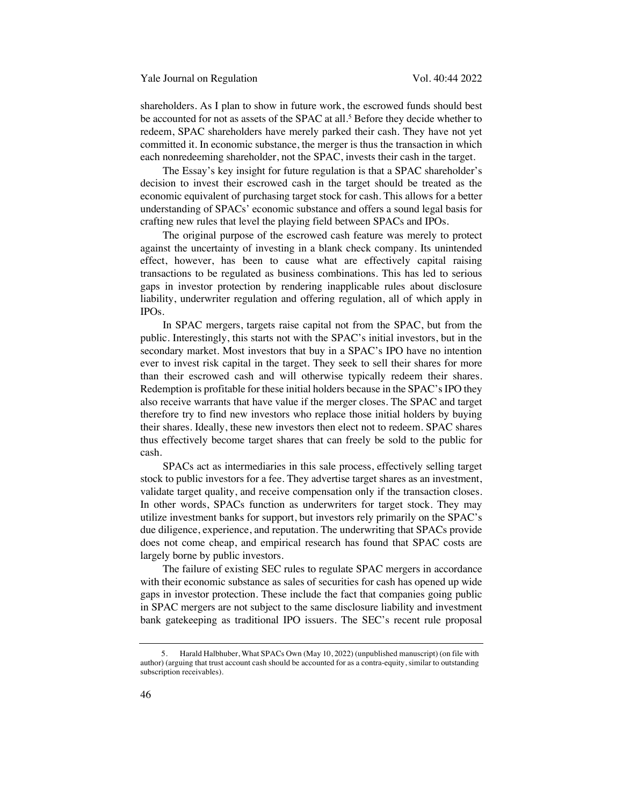shareholders. As I plan to show in future work, the escrowed funds should best be accounted for not as assets of the SPAC at all. <sup>5</sup> Before they decide whether to redeem, SPAC shareholders have merely parked their cash. They have not yet committed it. In economic substance, the merger is thus the transaction in which each nonredeeming shareholder, not the SPAC, invests their cash in the target.

The Essay's key insight for future regulation is that a SPAC shareholder's decision to invest their escrowed cash in the target should be treated as the economic equivalent of purchasing target stock for cash. This allows for a better understanding of SPACs' economic substance and offers a sound legal basis for crafting new rules that level the playing field between SPACs and IPOs.

The original purpose of the escrowed cash feature was merely to protect against the uncertainty of investing in a blank check company. Its unintended effect, however, has been to cause what are effectively capital raising transactions to be regulated as business combinations. This has led to serious gaps in investor protection by rendering inapplicable rules about disclosure liability, underwriter regulation and offering regulation, all of which apply in IPOs.

In SPAC mergers, targets raise capital not from the SPAC, but from the public. Interestingly, this starts not with the SPAC's initial investors, but in the secondary market. Most investors that buy in a SPAC's IPO have no intention ever to invest risk capital in the target. They seek to sell their shares for more than their escrowed cash and will otherwise typically redeem their shares. Redemption is profitable for these initial holders because in the SPAC's IPO they also receive warrants that have value if the merger closes. The SPAC and target therefore try to find new investors who replace those initial holders by buying their shares. Ideally, these new investors then elect not to redeem. SPAC shares thus effectively become target shares that can freely be sold to the public for cash.

SPACs act as intermediaries in this sale process, effectively selling target stock to public investors for a fee. They advertise target shares as an investment, validate target quality, and receive compensation only if the transaction closes. In other words, SPACs function as underwriters for target stock. They may utilize investment banks for support, but investors rely primarily on the SPAC's due diligence, experience, and reputation. The underwriting that SPACs provide does not come cheap, and empirical research has found that SPAC costs are largely borne by public investors.

The failure of existing SEC rules to regulate SPAC mergers in accordance with their economic substance as sales of securities for cash has opened up wide gaps in investor protection. These include the fact that companies going public in SPAC mergers are not subject to the same disclosure liability and investment bank gatekeeping as traditional IPO issuers. The SEC's recent rule proposal

<sup>5.</sup> Harald Halbhuber, What SPACs Own (May 10, 2022) (unpublished manuscript) (on file with author) (arguing that trust account cash should be accounted for as a contra-equity, similar to outstanding subscription receivables).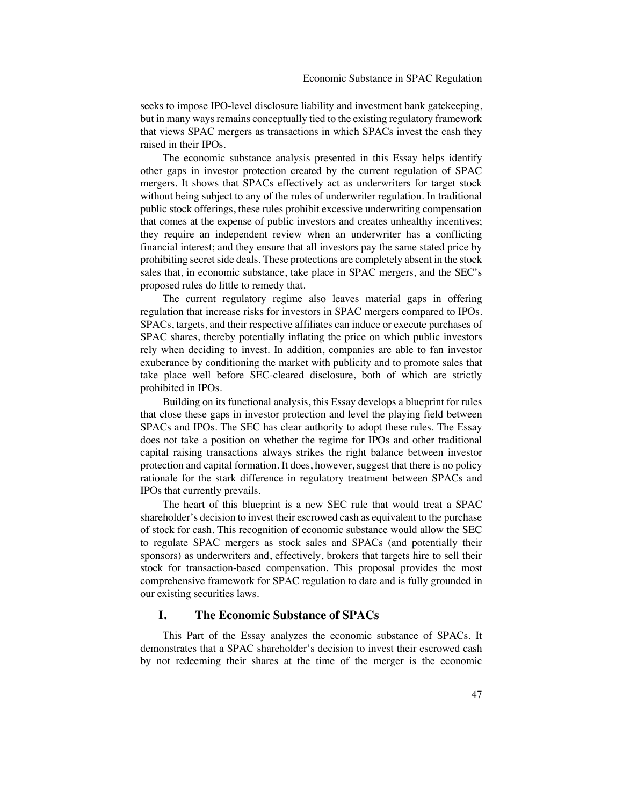seeks to impose IPO-level disclosure liability and investment bank gatekeeping, but in many ways remains conceptually tied to the existing regulatory framework that views SPAC mergers as transactions in which SPACs invest the cash they raised in their IPOs.

The economic substance analysis presented in this Essay helps identify other gaps in investor protection created by the current regulation of SPAC mergers. It shows that SPACs effectively act as underwriters for target stock without being subject to any of the rules of underwriter regulation. In traditional public stock offerings, these rules prohibit excessive underwriting compensation that comes at the expense of public investors and creates unhealthy incentives; they require an independent review when an underwriter has a conflicting financial interest; and they ensure that all investors pay the same stated price by prohibiting secret side deals. These protections are completely absent in the stock sales that, in economic substance, take place in SPAC mergers, and the SEC's proposed rules do little to remedy that.

The current regulatory regime also leaves material gaps in offering regulation that increase risks for investors in SPAC mergers compared to IPOs. SPACs, targets, and their respective affiliates can induce or execute purchases of SPAC shares, thereby potentially inflating the price on which public investors rely when deciding to invest. In addition, companies are able to fan investor exuberance by conditioning the market with publicity and to promote sales that take place well before SEC-cleared disclosure, both of which are strictly prohibited in IPOs.

Building on its functional analysis, this Essay develops a blueprint for rules that close these gaps in investor protection and level the playing field between SPACs and IPOs. The SEC has clear authority to adopt these rules. The Essay does not take a position on whether the regime for IPOs and other traditional capital raising transactions always strikes the right balance between investor protection and capital formation. It does, however, suggest that there is no policy rationale for the stark difference in regulatory treatment between SPACs and IPOs that currently prevails.

The heart of this blueprint is a new SEC rule that would treat a SPAC shareholder's decision to invest their escrowed cash as equivalent to the purchase of stock for cash. This recognition of economic substance would allow the SEC to regulate SPAC mergers as stock sales and SPACs (and potentially their sponsors) as underwriters and, effectively, brokers that targets hire to sell their stock for transaction-based compensation. This proposal provides the most comprehensive framework for SPAC regulation to date and is fully grounded in our existing securities laws.

## **I. The Economic Substance of SPACs**

This Part of the Essay analyzes the economic substance of SPACs. It demonstrates that a SPAC shareholder's decision to invest their escrowed cash by not redeeming their shares at the time of the merger is the economic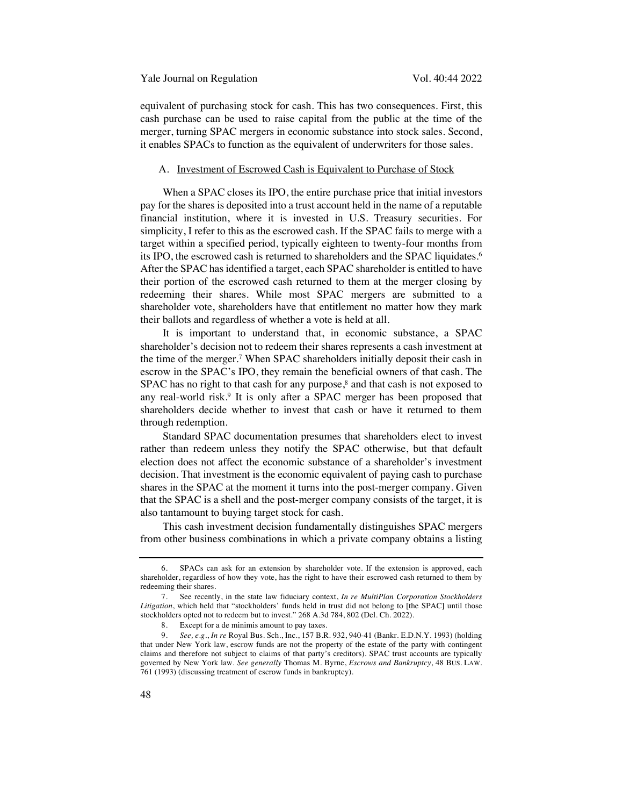equivalent of purchasing stock for cash. This has two consequences. First, this cash purchase can be used to raise capital from the public at the time of the merger, turning SPAC mergers in economic substance into stock sales. Second, it enables SPACs to function as the equivalent of underwriters for those sales.

#### A. Investment of Escrowed Cash is Equivalent to Purchase of Stock

When a SPAC closes its IPO, the entire purchase price that initial investors pay for the shares is deposited into a trust account held in the name of a reputable financial institution, where it is invested in U.S. Treasury securities. For simplicity, I refer to this as the escrowed cash. If the SPAC fails to merge with a target within a specified period, typically eighteen to twenty-four months from its IPO, the escrowed cash is returned to shareholders and the SPAC liquidates.<sup>6</sup> After the SPAC has identified a target, each SPAC shareholder is entitled to have their portion of the escrowed cash returned to them at the merger closing by redeeming their shares. While most SPAC mergers are submitted to a shareholder vote, shareholders have that entitlement no matter how they mark their ballots and regardless of whether a vote is held at all.

It is important to understand that, in economic substance, a SPAC shareholder's decision not to redeem their shares represents a cash investment at the time of the merger.7 When SPAC shareholders initially deposit their cash in escrow in the SPAC's IPO, they remain the beneficial owners of that cash. The SPAC has no right to that cash for any purpose, <sup>8</sup> and that cash is not exposed to any real-world risk.9 It is only after a SPAC merger has been proposed that shareholders decide whether to invest that cash or have it returned to them through redemption.

Standard SPAC documentation presumes that shareholders elect to invest rather than redeem unless they notify the SPAC otherwise, but that default election does not affect the economic substance of a shareholder's investment decision. That investment is the economic equivalent of paying cash to purchase shares in the SPAC at the moment it turns into the post-merger company. Given that the SPAC is a shell and the post-merger company consists of the target, it is also tantamount to buying target stock for cash.

This cash investment decision fundamentally distinguishes SPAC mergers from other business combinations in which a private company obtains a listing

<sup>6.</sup> SPACs can ask for an extension by shareholder vote. If the extension is approved, each shareholder, regardless of how they vote, has the right to have their escrowed cash returned to them by redeeming their shares.

<sup>7.</sup> See recently, in the state law fiduciary context, *In re MultiPlan Corporation Stockholders Litigation*, which held that "stockholders' funds held in trust did not belong to [the SPAC] until those stockholders opted not to redeem but to invest." 268 A.3d 784, 802 (Del. Ch. 2022).

<sup>8.</sup> Except for a de minimis amount to pay taxes.

<sup>9.</sup> *See, e.g.*, *In re* Royal Bus. Sch., Inc., 157 B.R. 932, 940-41 (Bankr. E.D.N.Y. 1993) (holding that under New York law, escrow funds are not the property of the estate of the party with contingent claims and therefore not subject to claims of that party's creditors). SPAC trust accounts are typically governed by New York law. *See generally* Thomas M. Byrne, *Escrows and Bankruptcy*, 48 BUS. LAW. 761 (1993) (discussing treatment of escrow funds in bankruptcy).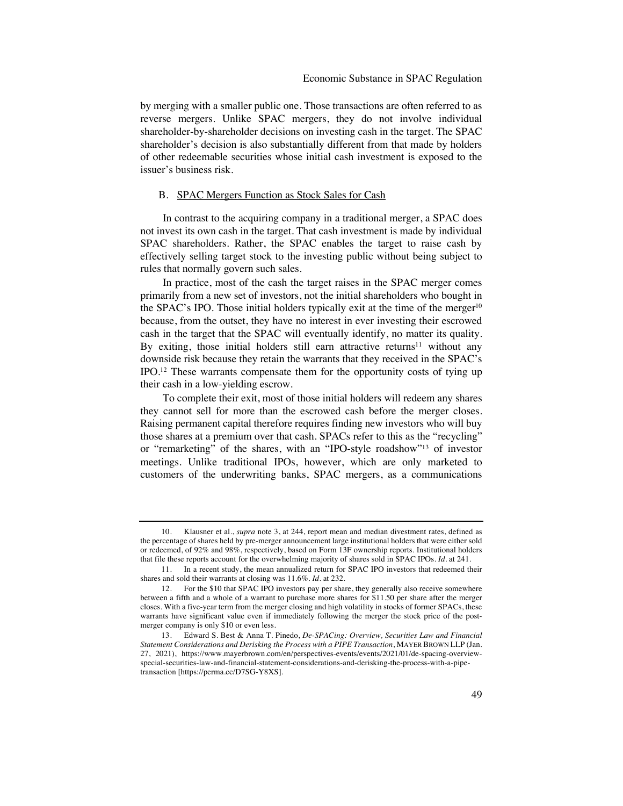by merging with a smaller public one. Those transactions are often referred to as reverse mergers. Unlike SPAC mergers, they do not involve individual shareholder-by-shareholder decisions on investing cash in the target. The SPAC shareholder's decision is also substantially different from that made by holders of other redeemable securities whose initial cash investment is exposed to the issuer's business risk.

# B. SPAC Mergers Function as Stock Sales for Cash

In contrast to the acquiring company in a traditional merger, a SPAC does not invest its own cash in the target. That cash investment is made by individual SPAC shareholders. Rather, the SPAC enables the target to raise cash by effectively selling target stock to the investing public without being subject to rules that normally govern such sales.

In practice, most of the cash the target raises in the SPAC merger comes primarily from a new set of investors, not the initial shareholders who bought in the SPAC's IPO. Those initial holders typically exit at the time of the merger $10$ because, from the outset, they have no interest in ever investing their escrowed cash in the target that the SPAC will eventually identify, no matter its quality. By exiting, those initial holders still earn attractive returns<sup>11</sup> without any downside risk because they retain the warrants that they received in the SPAC's IPO.12 These warrants compensate them for the opportunity costs of tying up their cash in a low-yielding escrow.

To complete their exit, most of those initial holders will redeem any shares they cannot sell for more than the escrowed cash before the merger closes. Raising permanent capital therefore requires finding new investors who will buy those shares at a premium over that cash. SPACs refer to this as the "recycling" or "remarketing" of the shares, with an "IPO-style roadshow"13 of investor meetings. Unlike traditional IPOs, however, which are only marketed to customers of the underwriting banks, SPAC mergers, as a communications

<sup>10.</sup> Klausner et al., *supra* note 3, at 244, report mean and median divestment rates, defined as the percentage of shares held by pre-merger announcement large institutional holders that were either sold or redeemed, of 92% and 98%, respectively, based on Form 13F ownership reports. Institutional holders that file these reports account for the overwhelming majority of shares sold in SPAC IPOs. *Id.* at 241.

<sup>11.</sup> In a recent study, the mean annualized return for SPAC IPO investors that redeemed their shares and sold their warrants at closing was 11.6%. *Id.* at 232.

<sup>12.</sup> For the \$10 that SPAC IPO investors pay per share, they generally also receive somewhere between a fifth and a whole of a warrant to purchase more shares for \$11.50 per share after the merger closes. With a five-year term from the merger closing and high volatility in stocks of former SPACs, these warrants have significant value even if immediately following the merger the stock price of the postmerger company is only \$10 or even less.

<sup>13.</sup> Edward S. Best & Anna T. Pinedo, *De-SPACing: Overview, Securities Law and Financial Statement Considerations and Derisking the Process with a PIPE Transaction*, MAYER BROWN LLP (Jan. 27, 2021), https://www.mayerbrown.com/en/perspectives-events/events/2021/01/de-spacing-overviewspecial-securities-law-and-financial-statement-considerations-and-derisking-the-process-with-a-pipetransaction [https://perma.cc/D7SG-Y8XS].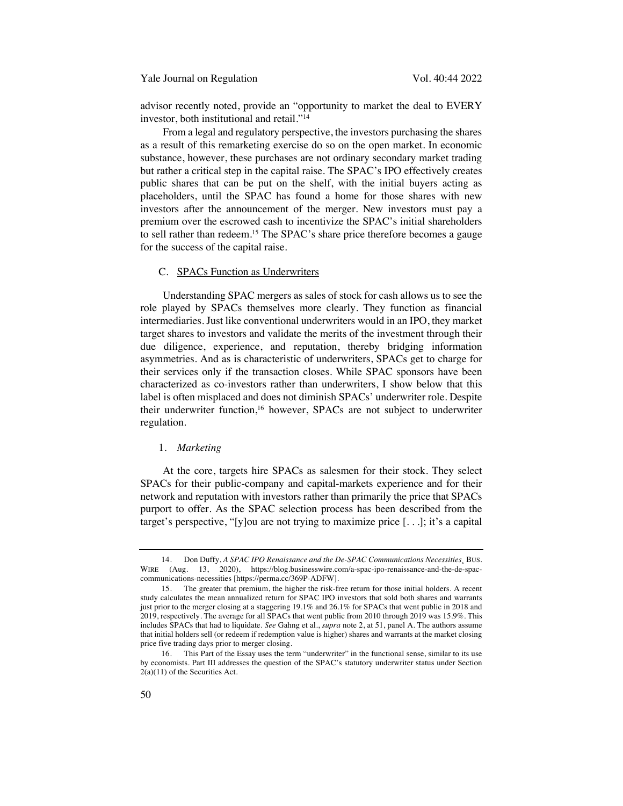Yale Journal on Regulation Vol. 40:44 2022

advisor recently noted, provide an "opportunity to market the deal to EVERY investor, both institutional and retail."14

From a legal and regulatory perspective, the investors purchasing the shares as a result of this remarketing exercise do so on the open market. In economic substance, however, these purchases are not ordinary secondary market trading but rather a critical step in the capital raise. The SPAC's IPO effectively creates public shares that can be put on the shelf, with the initial buyers acting as placeholders, until the SPAC has found a home for those shares with new investors after the announcement of the merger. New investors must pay a premium over the escrowed cash to incentivize the SPAC's initial shareholders to sell rather than redeem.15 The SPAC's share price therefore becomes a gauge for the success of the capital raise.

#### C. SPACs Function as Underwriters

Understanding SPAC mergers as sales of stock for cash allows us to see the role played by SPACs themselves more clearly. They function as financial intermediaries. Just like conventional underwriters would in an IPO, they market target shares to investors and validate the merits of the investment through their due diligence, experience, and reputation, thereby bridging information asymmetries. And as is characteristic of underwriters, SPACs get to charge for their services only if the transaction closes. While SPAC sponsors have been characterized as co-investors rather than underwriters, I show below that this label is often misplaced and does not diminish SPACs' underwriter role. Despite their underwriter function,16 however, SPACs are not subject to underwriter regulation.

#### 1. *Marketing*

At the core, targets hire SPACs as salesmen for their stock. They select SPACs for their public-company and capital-markets experience and for their network and reputation with investors rather than primarily the price that SPACs purport to offer. As the SPAC selection process has been described from the target's perspective, "[y]ou are not trying to maximize price [. . .]; it's a capital

<sup>14.</sup> Don Duffy, *A SPAC IPO Renaissance and the De-SPAC Communications Necessities*¸ BUS. WIRE (Aug. 13, 2020), https://blog.businesswire.com/a-spac-ipo-renaissance-and-the-de-spaccommunications-necessities [https://perma.cc/369P-ADFW].

<sup>15.</sup> The greater that premium, the higher the risk-free return for those initial holders. A recent study calculates the mean annualized return for SPAC IPO investors that sold both shares and warrants just prior to the merger closing at a staggering 19.1% and 26.1% for SPACs that went public in 2018 and 2019, respectively. The average for all SPACs that went public from 2010 through 2019 was 15.9%. This includes SPACs that had to liquidate. *See* Gahng et al., *supra* note 2, at 51, panel A. The authors assume that initial holders sell (or redeem if redemption value is higher) shares and warrants at the market closing price five trading days prior to merger closing.

<sup>16.</sup> This Part of the Essay uses the term "underwriter" in the functional sense, similar to its use by economists. Part III addresses the question of the SPAC's statutory underwriter status under Section  $2(a)(11)$  of the Securities Act.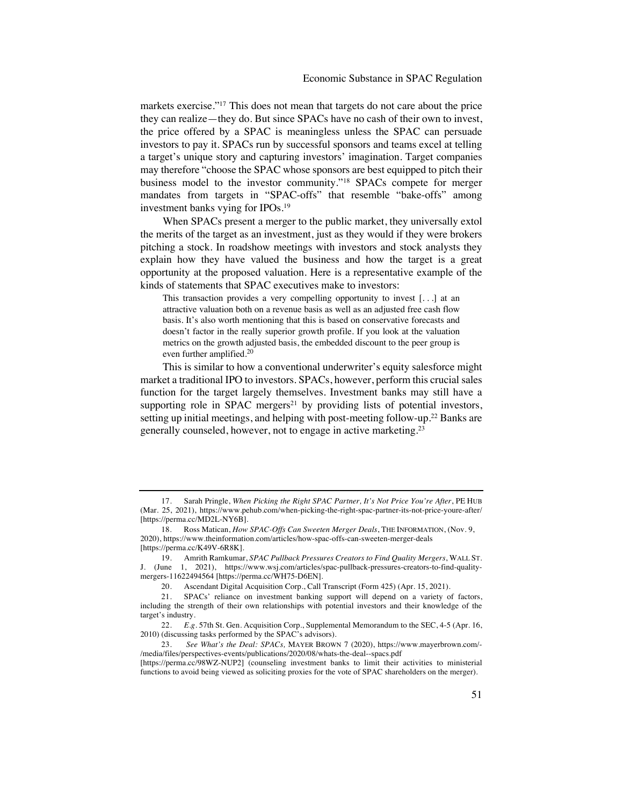markets exercise."17 This does not mean that targets do not care about the price they can realize—they do. But since SPACs have no cash of their own to invest, the price offered by a SPAC is meaningless unless the SPAC can persuade investors to pay it. SPACs run by successful sponsors and teams excel at telling a target's unique story and capturing investors' imagination. Target companies may therefore "choose the SPAC whose sponsors are best equipped to pitch their business model to the investor community."18 SPACs compete for merger mandates from targets in "SPAC-offs" that resemble "bake-offs" among investment banks vying for IPOs.19

When SPACs present a merger to the public market, they universally extol the merits of the target as an investment, just as they would if they were brokers pitching a stock. In roadshow meetings with investors and stock analysts they explain how they have valued the business and how the target is a great opportunity at the proposed valuation. Here is a representative example of the kinds of statements that SPAC executives make to investors:

This transaction provides a very compelling opportunity to invest [. . .] at an attractive valuation both on a revenue basis as well as an adjusted free cash flow basis. It's also worth mentioning that this is based on conservative forecasts and doesn't factor in the really superior growth profile. If you look at the valuation metrics on the growth adjusted basis, the embedded discount to the peer group is even further amplified.20

This is similar to how a conventional underwriter's equity salesforce might market a traditional IPO to investors. SPACs, however, perform this crucial sales function for the target largely themselves. Investment banks may still have a supporting role in SPAC mergers<sup>21</sup> by providing lists of potential investors, setting up initial meetings, and helping with post-meeting follow-up.22 Banks are generally counseled, however, not to engage in active marketing.23

<sup>17.</sup> Sarah Pringle, *When Picking the Right SPAC Partner, It's Not Price You're After*, PE HUB (Mar. 25, 2021), https://www.pehub.com/when-picking-the-right-spac-partner-its-not-price-youre-after/ [https://perma.cc/MD2L-NY6B].

<sup>18.</sup> Ross Matican, *How SPAC-Offs Can Sweeten Merger Deals*, THE INFORMATION, (Nov. 9, 2020), https://www.theinformation.com/articles/how-spac-offs-can-sweeten-merger-deals [https://perma.cc/K49V-6R8K].

<sup>19.</sup> Amrith Ramkumar, *SPAC Pullback Pressures Creators to Find Quality Mergers*, WALL ST. J. (June 1, 2021), https://www.wsj.com/articles/spac-pullback-pressures-creators-to-find-qualitymergers-11622494564 [https://perma.cc/WH75-D6EN].

<sup>20.</sup> Ascendant Digital Acquisition Corp., Call Transcript (Form 425) (Apr. 15, 2021).

<sup>21.</sup> SPACs' reliance on investment banking support will depend on a variety of factors, including the strength of their own relationships with potential investors and their knowledge of the target's industry.

<sup>22.</sup> *E.g*. 57th St. Gen. Acquisition Corp., Supplemental Memorandum to the SEC, 4-5 (Apr. 16, 2010) (discussing tasks performed by the SPAC's advisors).

<sup>23.</sup> *See What's the Deal: SPACs,* MAYER BROWN 7 (2020), https://www.mayerbrown.com/- /media/files/perspectives-events/publications/2020/08/whats-the-deal--spacs.pdf

<sup>[</sup>https://perma.cc/98WZ-NUP2] (counseling investment banks to limit their activities to ministerial functions to avoid being viewed as soliciting proxies for the vote of SPAC shareholders on the merger).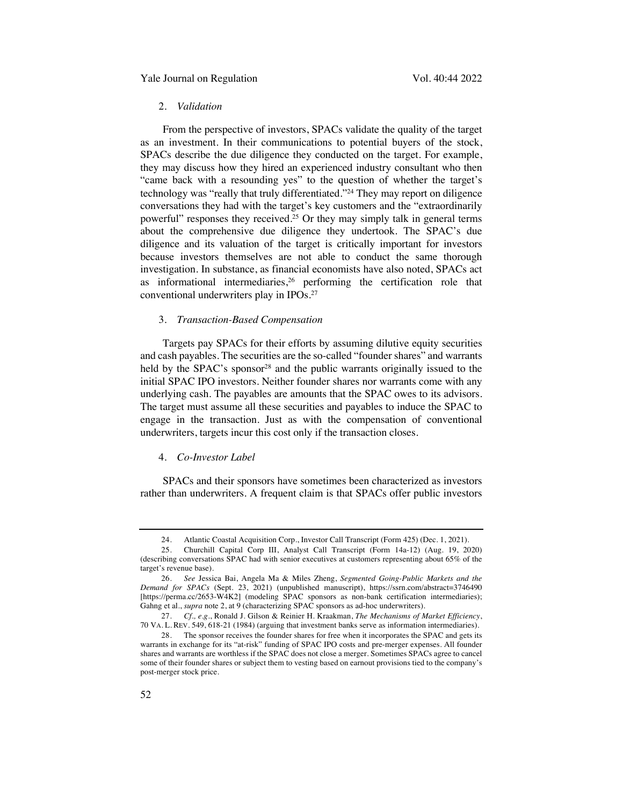# 2. *Validation*

From the perspective of investors, SPACs validate the quality of the target as an investment. In their communications to potential buyers of the stock, SPACs describe the due diligence they conducted on the target. For example, they may discuss how they hired an experienced industry consultant who then "came back with a resounding yes" to the question of whether the target's technology was "really that truly differentiated."24 They may report on diligence conversations they had with the target's key customers and the "extraordinarily powerful" responses they received.25 Or they may simply talk in general terms about the comprehensive due diligence they undertook. The SPAC's due diligence and its valuation of the target is critically important for investors because investors themselves are not able to conduct the same thorough investigation. In substance, as financial economists have also noted, SPACs act as informational intermediaries, $26$  performing the certification role that conventional underwriters play in IPOs.27

## 3. *Transaction-Based Compensation*

Targets pay SPACs for their efforts by assuming dilutive equity securities and cash payables. The securities are the so-called "founder shares" and warrants held by the SPAC's sponsor<sup>28</sup> and the public warrants originally issued to the initial SPAC IPO investors. Neither founder shares nor warrants come with any underlying cash. The payables are amounts that the SPAC owes to its advisors. The target must assume all these securities and payables to induce the SPAC to engage in the transaction. Just as with the compensation of conventional underwriters, targets incur this cost only if the transaction closes.

#### 4. *Co-Investor Label*

SPACs and their sponsors have sometimes been characterized as investors rather than underwriters. A frequent claim is that SPACs offer public investors

<sup>24.</sup> Atlantic Coastal Acquisition Corp., Investor Call Transcript (Form 425) (Dec. 1, 2021).

<sup>25.</sup> Churchill Capital Corp III, Analyst Call Transcript (Form 14a-12) (Aug. 19, 2020) (describing conversations SPAC had with senior executives at customers representing about 65% of the target's revenue base).

<sup>26.</sup> *See* Jessica Bai, Angela Ma & Miles Zheng, *Segmented Going-Public Markets and the Demand for SPACs* (Sept. 23, 2021) (unpublished manuscript), https://ssrn.com/abstract=3746490 [https://perma.cc/2653-W4K2] (modeling SPAC sponsors as non-bank certification intermediaries); Gahng et al., *supra* note 2, at 9 (characterizing SPAC sponsors as ad-hoc underwriters).

<sup>27.</sup> *Cf., e.g.*, Ronald J. Gilson & Reinier H. Kraakman, *The Mechanisms of Market Efficiency*, 70 VA. L. REV. 549, 618-21 (1984) (arguing that investment banks serve as information intermediaries).

<sup>28.</sup> The sponsor receives the founder shares for free when it incorporates the SPAC and gets its warrants in exchange for its "at-risk" funding of SPAC IPO costs and pre-merger expenses. All founder shares and warrants are worthless if the SPAC does not close a merger. Sometimes SPACs agree to cancel some of their founder shares or subject them to vesting based on earnout provisions tied to the company's post-merger stock price.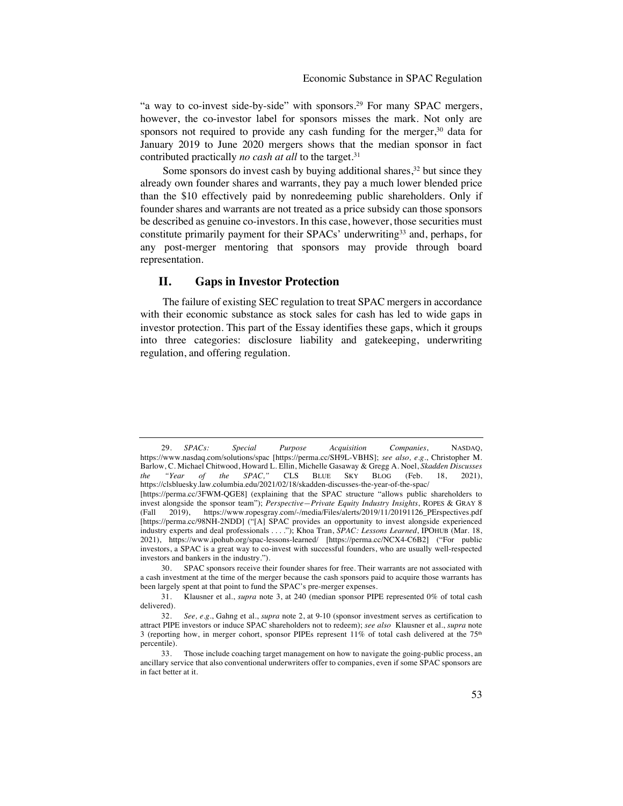"a way to co-invest side-by-side" with sponsors.29 For many SPAC mergers, however, the co-investor label for sponsors misses the mark. Not only are sponsors not required to provide any cash funding for the merger, $30$  data for January 2019 to June 2020 mergers shows that the median sponsor in fact contributed practically *no cash at all* to the target.<sup>31</sup>

Some sponsors do invest cash by buying additional shares,  $3<sup>2</sup>$  but since they already own founder shares and warrants, they pay a much lower blended price than the \$10 effectively paid by nonredeeming public shareholders. Only if founder shares and warrants are not treated as a price subsidy can those sponsors be described as genuine co-investors. In this case, however, those securities must constitute primarily payment for their SPACs' underwriting<sup>33</sup> and, perhaps, for any post-merger mentoring that sponsors may provide through board representation.

# **II. Gaps in Investor Protection**

The failure of existing SEC regulation to treat SPAC mergers in accordance with their economic substance as stock sales for cash has led to wide gaps in investor protection. This part of the Essay identifies these gaps, which it groups into three categories: disclosure liability and gatekeeping, underwriting regulation, and offering regulation.

<sup>29.</sup> *SPACs: Special Purpose Acquisition Companies*, NASDAQ, https://www.nasdaq.com/solutions/spac [https://perma.cc/SH9L-VBHS]; *see also, e.g.*, Christopher M. Barlow, C. Michael Chitwood, Howard L. Ellin, Michelle Gasaway & Gregg A. Noel, *Skadden Discusses the "Year of the SPAC,"* CLS BLUE SKY BLOG (Feb. 18, 2021), https://clsbluesky.law.columbia.edu/2021/02/18/skadden-discusses-the-year-of-the-spac/ [https://perma.cc/3FWM-QGE8] (explaining that the SPAC structure "allows public shareholders to invest alongside the sponsor team"); *Perspective—Private Equity Industry Insights*, ROPES & GRAY 8 (Fall 2019), https://www.ropesgray.com/-/media/Files/alerts/2019/11/20191126\_PErspectives.pdf [https://perma.cc/98NH-2NDD] ("[A] SPAC provides an opportunity to invest alongside experienced industry experts and deal professionals . . . ."); Khoa Tran, *SPAC: Lessons Learned*, IPOHUB (Mar. 18, 2021), https://www.ipohub.org/spac-lessons-learned/ [https://perma.cc/NCX4-C6B2] ("For public investors, a SPAC is a great way to co-invest with successful founders, who are usually well-respected investors and bankers in the industry.").

<sup>30.</sup> SPAC sponsors receive their founder shares for free. Their warrants are not associated with a cash investment at the time of the merger because the cash sponsors paid to acquire those warrants has been largely spent at that point to fund the SPAC's pre-merger expenses.

<sup>31.</sup> Klausner et al., *supra* note 3, at 240 (median sponsor PIPE represented 0% of total cash delivered).

<sup>32.</sup> *See, e.g*., Gahng et al., *supra* note 2, at 9-10 (sponsor investment serves as certification to attract PIPE investors or induce SPAC shareholders not to redeem); *see also* Klausner et al., *supra* note 3 (reporting how, in merger cohort, sponsor PIPEs represent 11% of total cash delivered at the 75th percentile).

<sup>33.</sup> Those include coaching target management on how to navigate the going-public process, an ancillary service that also conventional underwriters offer to companies, even if some SPAC sponsors are in fact better at it.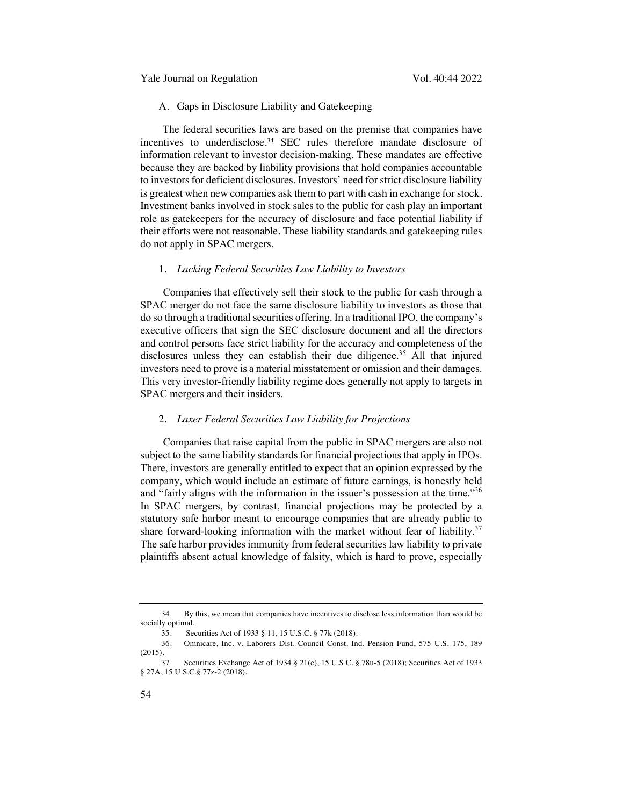#### A. Gaps in Disclosure Liability and Gatekeeping

The federal securities laws are based on the premise that companies have incentives to underdisclose. <sup>34</sup> SEC rules therefore mandate disclosure of information relevant to investor decision-making. These mandates are effective because they are backed by liability provisions that hold companies accountable to investors for deficient disclosures. Investors' need for strict disclosure liability is greatest when new companies ask them to part with cash in exchange for stock. Investment banks involved in stock sales to the public for cash play an important role as gatekeepers for the accuracy of disclosure and face potential liability if their efforts were not reasonable. These liability standards and gatekeeping rules do not apply in SPAC mergers.

#### 1. *Lacking Federal Securities Law Liability to Investors*

Companies that effectively sell their stock to the public for cash through a SPAC merger do not face the same disclosure liability to investors as those that do so through a traditional securities offering. In a traditional IPO, the company's executive officers that sign the SEC disclosure document and all the directors and control persons face strict liability for the accuracy and completeness of the disclosures unless they can establish their due diligence.<sup>35</sup> All that injured investors need to prove is a material misstatement or omission and their damages. This very investor-friendly liability regime does generally not apply to targets in SPAC mergers and their insiders.

# 2. *Laxer Federal Securities Law Liability for Projections*

Companies that raise capital from the public in SPAC mergers are also not subject to the same liability standards for financial projections that apply in IPOs. There, investors are generally entitled to expect that an opinion expressed by the company, which would include an estimate of future earnings, is honestly held and "fairly aligns with the information in the issuer's possession at the time."36 In SPAC mergers, by contrast, financial projections may be protected by a statutory safe harbor meant to encourage companies that are already public to share forward-looking information with the market without fear of liability.<sup>37</sup> The safe harbor provides immunity from federal securities law liability to private plaintiffs absent actual knowledge of falsity, which is hard to prove, especially

<sup>34.</sup> By this, we mean that companies have incentives to disclose less information than would be socially optimal.

<sup>35.</sup> Securities Act of 1933 § 11, 15 U.S.C. § 77k (2018).

<sup>36.</sup> Omnicare, Inc. v. Laborers Dist. Council Const. Ind. Pension Fund, 575 U.S. 175, 189 (2015).

<sup>37.</sup> Securities Exchange Act of 1934 § 21(e), 15 U.S.C. § 78u-5 (2018); Securities Act of 1933 § 27A, 15 U.S.C.§ 77z-2 (2018).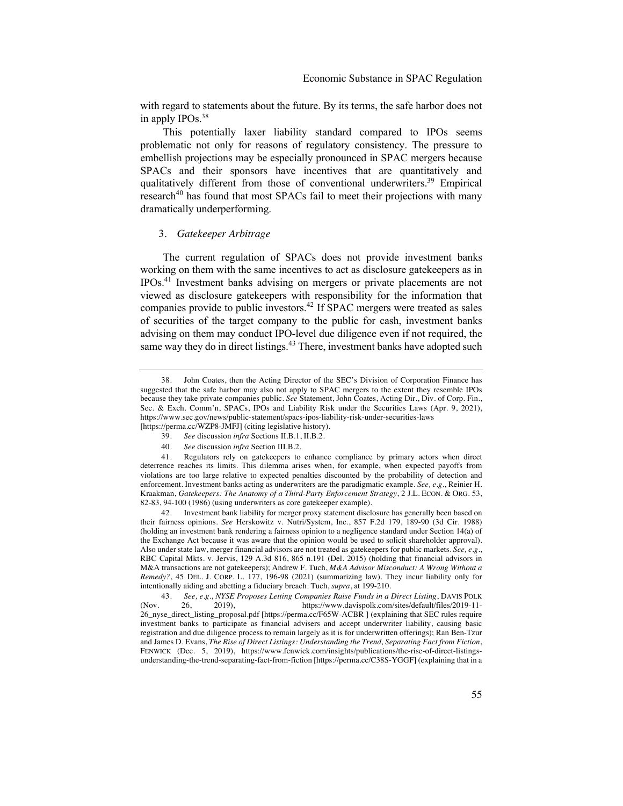with regard to statements about the future. By its terms, the safe harbor does not in apply IPOs.<sup>38</sup>

This potentially laxer liability standard compared to IPOs seems problematic not only for reasons of regulatory consistency. The pressure to embellish projections may be especially pronounced in SPAC mergers because SPACs and their sponsors have incentives that are quantitatively and qualitatively different from those of conventional underwriters.<sup>39</sup> Empirical research<sup>40</sup> has found that most SPACs fail to meet their projections with many dramatically underperforming.

#### 3. *Gatekeeper Arbitrage*

The current regulation of SPACs does not provide investment banks working on them with the same incentives to act as disclosure gatekeepers as in IPOs.41 Investment banks advising on mergers or private placements are not viewed as disclosure gatekeepers with responsibility for the information that companies provide to public investors.42 If SPAC mergers were treated as sales of securities of the target company to the public for cash, investment banks advising on them may conduct IPO-level due diligence even if not required, the same way they do in direct listings.<sup>43</sup> There, investment banks have adopted such

- 39. *See* discussion *infra* Sections II.B.1, II.B.2.
- 40. *See* discussion *infra* Section III.B.2.

<sup>38.</sup> John Coates, then the Acting Director of the SEC's Division of Corporation Finance has suggested that the safe harbor may also not apply to SPAC mergers to the extent they resemble IPOs because they take private companies public. *See* Statement, John Coates, Acting Dir., Div. of Corp. Fin., Sec. & Exch. Comm'n, SPACs, IPOs and Liability Risk under the Securities Laws (Apr. 9, 2021), https://www.sec.gov/news/public-statement/spacs-ipos-liability-risk-under-securities-laws [https://perma.cc/WZP8-JMFJ] (citing legislative history).

<sup>41.</sup> Regulators rely on gatekeepers to enhance compliance by primary actors when direct deterrence reaches its limits. This dilemma arises when, for example, when expected payoffs from violations are too large relative to expected penalties discounted by the probability of detection and enforcement. Investment banks acting as underwriters are the paradigmatic example. *See, e.g.*, Reinier H. Kraakman, *Gatekeepers: The Anatomy of a Third-Party Enforcement Strategy*, 2 J.L. ECON. & ORG. 53, 82-83, 94-100 (1986) (using underwriters as core gatekeeper example).

<sup>42.</sup> Investment bank liability for merger proxy statement disclosure has generally been based on their fairness opinions. *See* Herskowitz v. Nutri/System, Inc., 857 F.2d 179, 189-90 (3d Cir. 1988) (holding an investment bank rendering a fairness opinion to a negligence standard under Section 14(a) of the Exchange Act because it was aware that the opinion would be used to solicit shareholder approval). Also under state law, merger financial advisors are not treated as gatekeepers for public markets. *See, e.g.*, RBC Capital Mkts. v. Jervis, 129 A.3d 816, 865 n.191 (Del. 2015) (holding that financial advisors in M&A transactions are not gatekeepers); Andrew F. Tuch, *M&A Advisor Misconduct: A Wrong Without a Remedy?*, 45 DEL. J. CORP. L. 177, 196-98 (2021) (summarizing law). They incur liability only for intentionally aiding and abetting a fiduciary breach. Tuch, *supra*, at 199-210.

<sup>43.</sup> *See, e.g.*, *NYSE Proposes Letting Companies Raise Funds in a Direct Listing*, DAVIS POLK (Nov. 26, 2019), https://www.davispolk.com/sites/default/files/2019-11- 26\_nyse\_direct\_listing\_proposal.pdf [https://perma.cc/F65W-ACBR ] (explaining that SEC rules require investment banks to participate as financial advisers and accept underwriter liability, causing basic registration and due diligence process to remain largely as it is for underwritten offerings); Ran Ben-Tzur and James D. Evans, *The Rise of Direct Listings: Understanding the Trend, Separating Fact from Fiction*, FENWICK (Dec. 5, 2019), https://www.fenwick.com/insights/publications/the-rise-of-direct-listingsunderstanding-the-trend-separating-fact-from-fiction [https://perma.cc/C38S-YGGF] (explaining that in a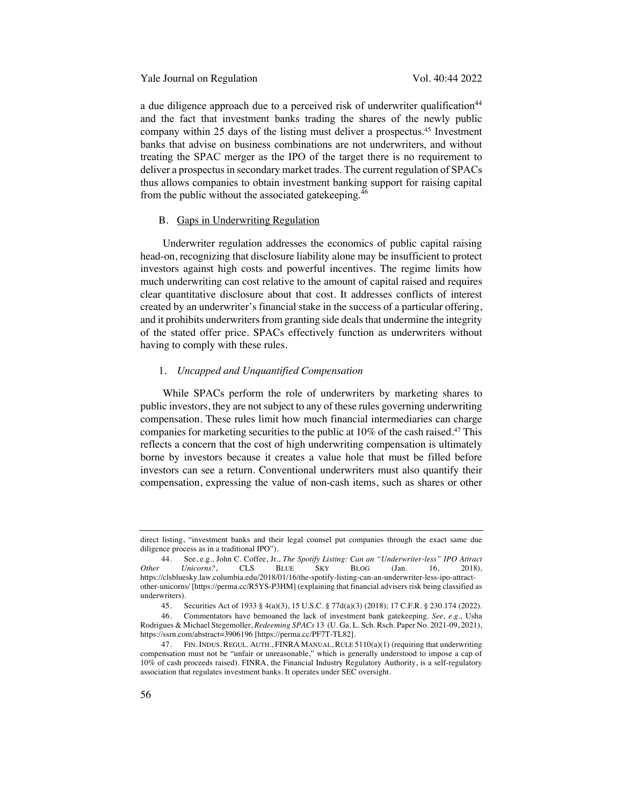Yale Journal on Regulation Vol. 40:44 2022

a due diligence approach due to a perceived risk of underwriter qualification<sup>44</sup> and the fact that investment banks trading the shares of the newly public company within 25 days of the listing must deliver a prospectus.<sup>45</sup> Investment banks that advise on business combinations are not underwriters, and without treating the SPAC merger as the IPO of the target there is no requirement to deliver a prospectus in secondary market trades. The current regulation of SPACs thus allows companies to obtain investment banking support for raising capital from the public without the associated gatekeeping.<sup>46</sup>

#### B. Gaps in Underwriting Regulation

Underwriter regulation addresses the economics of public capital raising head-on, recognizing that disclosure liability alone may be insufficient to protect investors against high costs and powerful incentives. The regime limits how much underwriting can cost relative to the amount of capital raised and requires clear quantitative disclosure about that cost. It addresses conflicts of interest created by an underwriter's financial stake in the success of a particular offering, and it prohibits underwriters from granting side deals that undermine the integrity of the stated offer price. SPACs effectively function as underwriters without having to comply with these rules.

#### 1. *Uncapped and Unquantified Compensation*

While SPACs perform the role of underwriters by marketing shares to public investors, they are not subject to any of these rules governing underwriting compensation. These rules limit how much financial intermediaries can charge companies for marketing securities to the public at 10% of the cash raised. <sup>47</sup> This reflects a concern that the cost of high underwriting compensation is ultimately borne by investors because it creates a value hole that must be filled before investors can see a return. Conventional underwriters must also quantify their compensation, expressing the value of non-cash items, such as shares or other

direct listing, "investment banks and their legal counsel put companies through the exact same due diligence process as in a traditional IPO").

<sup>44.</sup> See, e.g., John C. Coffee, Jr., *The Spotify Listing: Can an "Underwriter-less" IPO Attract Other Unicorns?*, CLS BLUE SKY BLOG (Jan. 16, 2018), https://clsbluesky.law.columbia.edu/2018/01/16/the-spotify-listing-can-an-underwriter-less-ipo-attractother-unicorns/ [https://perma.cc/R5YS-P3HM] (explaining that financial advisers risk being classified as underwriters).

<sup>45.</sup> Securities Act of 1933 § 4(a)(3), 15 U.S.C. § 77d(a)(3) (2018); 17 C.F.R. § 230.174 (2022).

<sup>46.</sup> Commentators have bemoaned the lack of investment bank gatekeeping. *See, e.g.*, Usha Rodrigues & Michael Stegemoller, *Redeeming SPACs* 13(U. Ga. L. Sch. Rsch. Paper No. 2021-09, 2021), https://ssrn.com/abstract=3906196 [https://perma.cc/PF7T-TL82].

<sup>47.</sup> FIN. INDUS. REGUL. AUTH., FINRA MANUAL, RULE 5110(a)(1) (requiring that underwriting compensation must not be "unfair or unreasonable," which is generally understood to impose a cap of 10% of cash proceeds raised). FINRA, the Financial Industry Regulatory Authority, is a self-regulatory association that regulates investment banks. It operates under SEC oversight.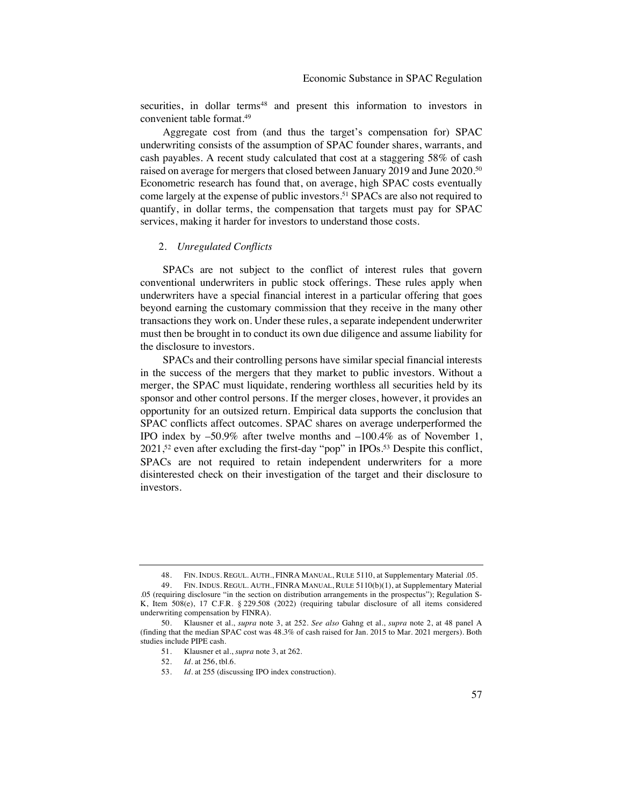securities, in dollar terms<sup>48</sup> and present this information to investors in convenient table format.49

Aggregate cost from (and thus the target's compensation for) SPAC underwriting consists of the assumption of SPAC founder shares, warrants, and cash payables. A recent study calculated that cost at a staggering 58% of cash raised on average for mergers that closed between January 2019 and June 2020.<sup>50</sup> Econometric research has found that, on average, high SPAC costs eventually come largely at the expense of public investors. <sup>51</sup> SPACs are also not required to quantify, in dollar terms, the compensation that targets must pay for SPAC services, making it harder for investors to understand those costs.

# 2. *Unregulated Conflicts*

SPACs are not subject to the conflict of interest rules that govern conventional underwriters in public stock offerings. These rules apply when underwriters have a special financial interest in a particular offering that goes beyond earning the customary commission that they receive in the many other transactions they work on. Under these rules, a separate independent underwriter must then be brought in to conduct its own due diligence and assume liability for the disclosure to investors.

SPACs and their controlling persons have similar special financial interests in the success of the mergers that they market to public investors. Without a merger, the SPAC must liquidate, rendering worthless all securities held by its sponsor and other control persons. If the merger closes, however, it provides an opportunity for an outsized return. Empirical data supports the conclusion that SPAC conflicts affect outcomes. SPAC shares on average underperformed the IPO index by –50.9% after twelve months and –100.4% as of November 1, 2021,52 even after excluding the first-day "pop" in IPOs.53 Despite this conflict, SPACs are not required to retain independent underwriters for a more disinterested check on their investigation of the target and their disclosure to investors.

<sup>48.</sup> FIN. INDUS. REGUL. AUTH., FINRA MANUAL, RULE 5110, at Supplementary Material .05.

<sup>49.</sup> FIN. INDUS. REGUL. AUTH., FINRA MANUAL, RULE 5110(b)(1), at Supplementary Material .05 (requiring disclosure "in the section on distribution arrangements in the prospectus"); Regulation S-K, Item 508(e), 17 C.F.R. § 229.508 (2022) (requiring tabular disclosure of all items considered underwriting compensation by FINRA).

<sup>50.</sup> Klausner et al., *supra* note 3, at 252. *See also* Gahng et al., *supra* note 2, at 48 panel A (finding that the median SPAC cost was 48.3% of cash raised for Jan. 2015 to Mar. 2021 mergers). Both studies include PIPE cash.

<sup>51.</sup> Klausner et al., *supra* note 3, at 262.

<sup>52.</sup> *Id.* at 256, tbl.6.

<sup>53.</sup> *Id.* at 255 (discussing IPO index construction).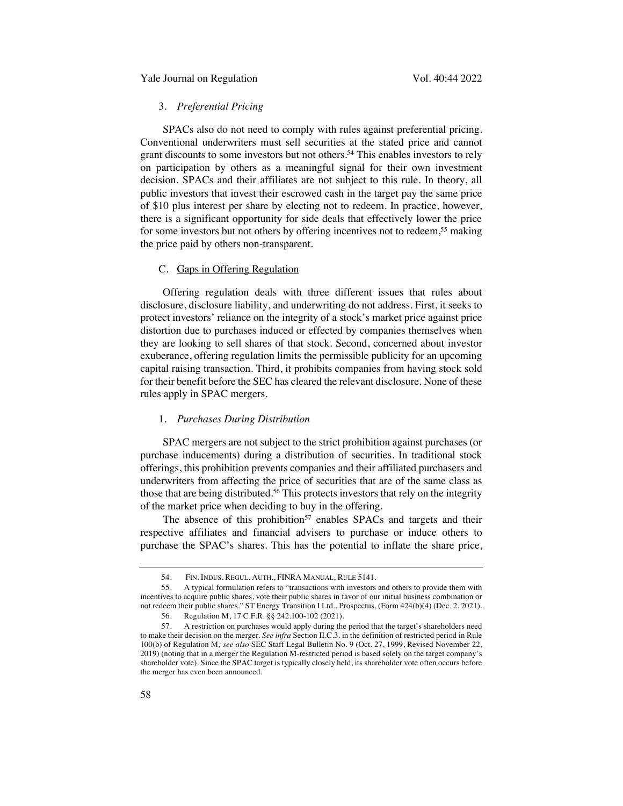# 3. *Preferential Pricing*

SPACs also do not need to comply with rules against preferential pricing. Conventional underwriters must sell securities at the stated price and cannot grant discounts to some investors but not others.54 This enables investors to rely on participation by others as a meaningful signal for their own investment decision. SPACs and their affiliates are not subject to this rule. In theory, all public investors that invest their escrowed cash in the target pay the same price of \$10 plus interest per share by electing not to redeem. In practice, however, there is a significant opportunity for side deals that effectively lower the price for some investors but not others by offering incentives not to redeem, <sup>55</sup> making the price paid by others non-transparent.

# C. Gaps in Offering Regulation

Offering regulation deals with three different issues that rules about disclosure, disclosure liability, and underwriting do not address. First, it seeks to protect investors' reliance on the integrity of a stock's market price against price distortion due to purchases induced or effected by companies themselves when they are looking to sell shares of that stock. Second, concerned about investor exuberance, offering regulation limits the permissible publicity for an upcoming capital raising transaction. Third, it prohibits companies from having stock sold for their benefit before the SEC has cleared the relevant disclosure. None of these rules apply in SPAC mergers.

# 1. *Purchases During Distribution*

SPAC mergers are not subject to the strict prohibition against purchases (or purchase inducements) during a distribution of securities. In traditional stock offerings, this prohibition prevents companies and their affiliated purchasers and underwriters from affecting the price of securities that are of the same class as those that are being distributed.<sup>56</sup> This protects investors that rely on the integrity of the market price when deciding to buy in the offering.

The absence of this prohibition<sup>57</sup> enables SPACs and targets and their respective affiliates and financial advisers to purchase or induce others to purchase the SPAC's shares. This has the potential to inflate the share price,

<sup>54.</sup> FIN. INDUS. REGUL. AUTH., FINRA MANUAL, RULE 5141.

<sup>55.</sup> A typical formulation refers to "transactions with investors and others to provide them with incentives to acquire public shares, vote their public shares in favor of our initial business combination or not redeem their public shares." ST Energy Transition I Ltd., Prospectus, (Form 424(b)(4) (Dec. 2, 2021). 56. Regulation M, 17 C.F.R. §§ 242.100-102 (2021).

<sup>57.</sup> A restriction on purchases would apply during the period that the target's shareholders need to make their decision on the merger. *See infra* Section II.C.3. in the definition of restricted period in Rule 100(b) of Regulation M*; see also* SEC Staff Legal Bulletin No. 9 (Oct. 27, 1999, Revised November 22, 2019) (noting that in a merger the Regulation M-restricted period is based solely on the target company's shareholder vote). Since the SPAC target is typically closely held, its shareholder vote often occurs before the merger has even been announced.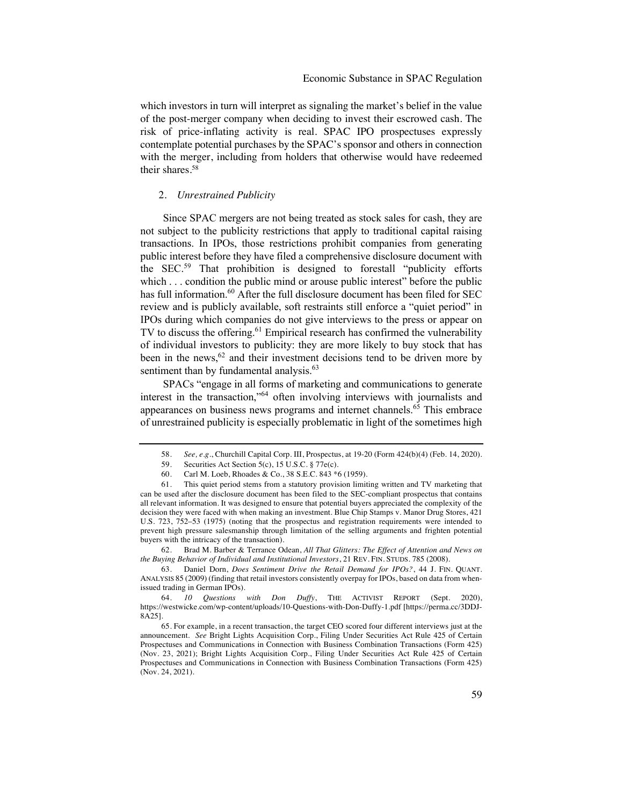which investors in turn will interpret as signaling the market's belief in the value of the post-merger company when deciding to invest their escrowed cash. The risk of price-inflating activity is real. SPAC IPO prospectuses expressly contemplate potential purchases by the SPAC's sponsor and others in connection with the merger, including from holders that otherwise would have redeemed their shares.58

# 2. *Unrestrained Publicity*

Since SPAC mergers are not being treated as stock sales for cash, they are not subject to the publicity restrictions that apply to traditional capital raising transactions. In IPOs, those restrictions prohibit companies from generating public interest before they have filed a comprehensive disclosure document with the SEC. <sup>59</sup> That prohibition is designed to forestall "publicity efforts which . . . condition the public mind or arouse public interest" before the public has full information.<sup>60</sup> After the full disclosure document has been filed for SEC review and is publicly available, soft restraints still enforce a "quiet period" in IPOs during which companies do not give interviews to the press or appear on TV to discuss the offering. $61$  Empirical research has confirmed the vulnerability of individual investors to publicity: they are more likely to buy stock that has been in the news,  $62$  and their investment decisions tend to be driven more by sentiment than by fundamental analysis.<sup>63</sup>

SPACs "engage in all forms of marketing and communications to generate interest in the transaction,"<sup>64</sup> often involving interviews with journalists and appearances on business news programs and internet channels.<sup>65</sup> This embrace of unrestrained publicity is especially problematic in light of the sometimes high

62. Brad M. Barber & Terrance Odean, *All That Glitters: The Effect of Attention and News on the Buying Behavior of Individual and Institutional Investors*, 21 REV. FIN. STUDS. 785 (2008).

63. Daniel Dorn, *Does Sentiment Drive the Retail Demand for IPOs?*, 44 J. FIN. QUANT. ANALYSIS 85 (2009) (finding that retail investors consistently overpay for IPOs, based on data from whenissued trading in German IPOs).

<sup>58.</sup> *See, e.g.*, Churchill Capital Corp. III, Prospectus, at 19-20 (Form 424(b)(4) (Feb. 14, 2020).

<sup>59.</sup> Securities Act Section 5(c), 15 U.S.C. § 77e(c).

<sup>60.</sup> Carl M. Loeb, Rhoades & Co., 38 S.E.C. 843 \*6 (1959).

<sup>61.</sup> This quiet period stems from a statutory provision limiting written and TV marketing that can be used after the disclosure document has been filed to the SEC-compliant prospectus that contains all relevant information. It was designed to ensure that potential buyers appreciated the complexity of the decision they were faced with when making an investment. Blue Chip Stamps v. Manor Drug Stores, 421 U.S. 723, 752–53 (1975) (noting that the prospectus and registration requirements were intended to prevent high pressure salesmanship through limitation of the selling arguments and frighten potential buyers with the intricacy of the transaction).

<sup>64.</sup> *10 Questions with Don Duffy*, THE ACTIVIST REPORT (Sept. 2020), https://westwicke.com/wp-content/uploads/10-Questions-with-Don-Duffy-1.pdf [https://perma.cc/3DDJ-8A25].

<sup>65.</sup> For example, in a recent transaction, the target CEO scored four different interviews just at the announcement. *See* Bright Lights Acquisition Corp., Filing Under Securities Act Rule 425 of Certain Prospectuses and Communications in Connection with Business Combination Transactions (Form 425) (Nov. 23, 2021); Bright Lights Acquisition Corp., Filing Under Securities Act Rule 425 of Certain Prospectuses and Communications in Connection with Business Combination Transactions (Form 425) (Nov. 24, 2021).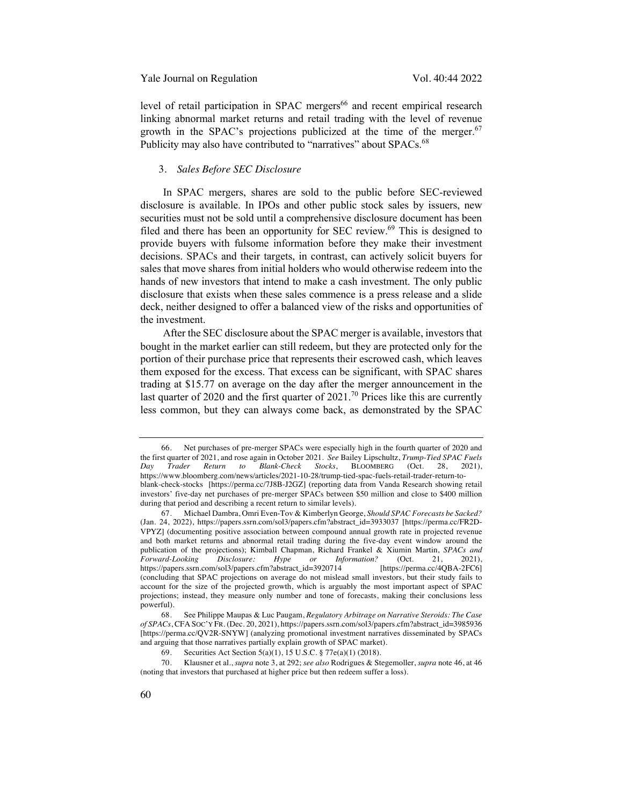level of retail participation in SPAC mergers<sup>66</sup> and recent empirical research linking abnormal market returns and retail trading with the level of revenue growth in the SPAC's projections publicized at the time of the merger. $67$ Publicity may also have contributed to "narratives" about SPACs.<sup>68</sup>

#### 3. *Sales Before SEC Disclosure*

In SPAC mergers, shares are sold to the public before SEC-reviewed disclosure is available. In IPOs and other public stock sales by issuers, new securities must not be sold until a comprehensive disclosure document has been filed and there has been an opportunity for SEC review.<sup>69</sup> This is designed to provide buyers with fulsome information before they make their investment decisions. SPACs and their targets, in contrast, can actively solicit buyers for sales that move shares from initial holders who would otherwise redeem into the hands of new investors that intend to make a cash investment. The only public disclosure that exists when these sales commence is a press release and a slide deck, neither designed to offer a balanced view of the risks and opportunities of the investment.

After the SEC disclosure about the SPAC merger is available, investors that bought in the market earlier can still redeem, but they are protected only for the portion of their purchase price that represents their escrowed cash, which leaves them exposed for the excess. That excess can be significant, with SPAC shares trading at \$15.77 on average on the day after the merger announcement in the last quarter of 2020 and the first quarter of  $2021$ .<sup>70</sup> Prices like this are currently less common, but they can always come back, as demonstrated by the SPAC

<sup>66.</sup> Net purchases of pre-merger SPACs were especially high in the fourth quarter of 2020 and the first quarter of 2021, and rose again in October 2021. *See* Bailey Lipschultz, *Trump-Tied SPAC Fuels Day Trader Return to Blank-Check Stocks*, BLOOMBERG (Oct. 28, 2021), https://www.bloomberg.com/news/articles/2021-10-28/trump-tied-spac-fuels-retail-trader-return-toblank-check-stocks [https://perma.cc/7J8B-J2GZ] (reporting data from Vanda Research showing retail investors' five-day net purchases of pre-merger SPACs between \$50 million and close to \$400 million during that period and describing a recent return to similar levels).

<sup>67.</sup> Michael Dambra, Omri Even-Tov & Kimberlyn George, *Should SPAC Forecasts be Sacked?* (Jan. 24, 2022), https://papers.ssrn.com/sol3/papers.cfm?abstract\_id=3933037 [https://perma.cc/FR2D-VPYZ] (documenting positive association between compound annual growth rate in projected revenue and both market returns and abnormal retail trading during the five-day event window around the publication of the projections); Kimball Chapman, Richard Frankel & Xiumin Martin, *SPACs and Forward-Looking Disclosure: Hype or* https://papers.ssrn.com/sol3/papers.cfm?abstract\_id=3920714 [https://perma.cc/4QBA-2FC6] (concluding that SPAC projections on average do not mislead small investors, but their study fails to account for the size of the projected growth, which is arguably the most important aspect of SPAC projections; instead, they measure only number and tone of forecasts, making their conclusions less powerful).

<sup>68.</sup> See Philippe Maupas & Luc Paugam, *Regulatory Arbitrage on Narrative Steroids: The Case of SPACs*, CFA SOC'Y FR. (Dec. 20, 2021), https://papers.ssrn.com/sol3/papers.cfm?abstract\_id=3985936 [https://perma.cc/QV2R-SNYW] (analyzing promotional investment narratives disseminated by SPACs and arguing that those narratives partially explain growth of SPAC market).

<sup>69.</sup> Securities Act Section 5(a)(1), 15 U.S.C. § 77e(a)(1) (2018).

<sup>70.</sup> Klausner et al., *supra* note 3, at 292; *see also* Rodrigues & Stegemoller, *supra* note 46, at 46 (noting that investors that purchased at higher price but then redeem suffer a loss).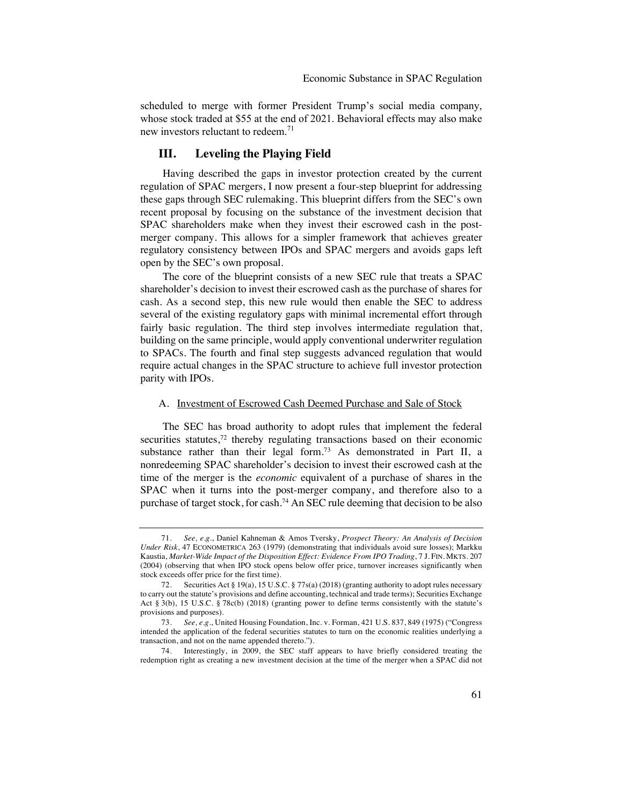scheduled to merge with former President Trump's social media company, whose stock traded at \$55 at the end of 2021. Behavioral effects may also make new investors reluctant to redeem.<sup>71</sup>

# **III. Leveling the Playing Field**

Having described the gaps in investor protection created by the current regulation of SPAC mergers, I now present a four-step blueprint for addressing these gaps through SEC rulemaking. This blueprint differs from the SEC's own recent proposal by focusing on the substance of the investment decision that SPAC shareholders make when they invest their escrowed cash in the postmerger company. This allows for a simpler framework that achieves greater regulatory consistency between IPOs and SPAC mergers and avoids gaps left open by the SEC's own proposal.

The core of the blueprint consists of a new SEC rule that treats a SPAC shareholder's decision to invest their escrowed cash as the purchase of shares for cash. As a second step, this new rule would then enable the SEC to address several of the existing regulatory gaps with minimal incremental effort through fairly basic regulation. The third step involves intermediate regulation that, building on the same principle, would apply conventional underwriter regulation to SPACs. The fourth and final step suggests advanced regulation that would require actual changes in the SPAC structure to achieve full investor protection parity with IPOs.

#### A. Investment of Escrowed Cash Deemed Purchase and Sale of Stock

The SEC has broad authority to adopt rules that implement the federal securities statutes,<sup>72</sup> thereby regulating transactions based on their economic substance rather than their legal form.<sup>73</sup> As demonstrated in Part II, a nonredeeming SPAC shareholder's decision to invest their escrowed cash at the time of the merger is the *economic* equivalent of a purchase of shares in the SPAC when it turns into the post-merger company, and therefore also to a purchase of target stock, for cash.74 An SEC rule deeming that decision to be also

<sup>71.</sup> *See, e.g.*, Daniel Kahneman & Amos Tversky, *Prospect Theory: An Analysis of Decision Under Risk*, 47 ECONOMETRICA 263 (1979) (demonstrating that individuals avoid sure losses); Markku Kaustia, *Market-Wide Impact of the Disposition Effect: Evidence From IPO Trading*, 7 J. FIN. MKTS. 207 (2004) (observing that when IPO stock opens below offer price, turnover increases significantly when stock exceeds offer price for the first time).

<sup>72.</sup> Securities Act § 19(a), 15 U.S.C. § 77s(a) (2018) (granting authority to adopt rules necessary to carry out the statute's provisions and define accounting, technical and trade terms); Securities Exchange Act § 3(b), 15 U.S.C. § 78c(b) (2018) (granting power to define terms consistently with the statute's provisions and purposes).

<sup>73.</sup> *See, e.g*., United Housing Foundation, Inc. v. Forman, 421 U.S. 837, 849 (1975) ("Congress intended the application of the federal securities statutes to turn on the economic realities underlying a transaction, and not on the name appended thereto.").

<sup>74.</sup> Interestingly, in 2009, the SEC staff appears to have briefly considered treating the redemption right as creating a new investment decision at the time of the merger when a SPAC did not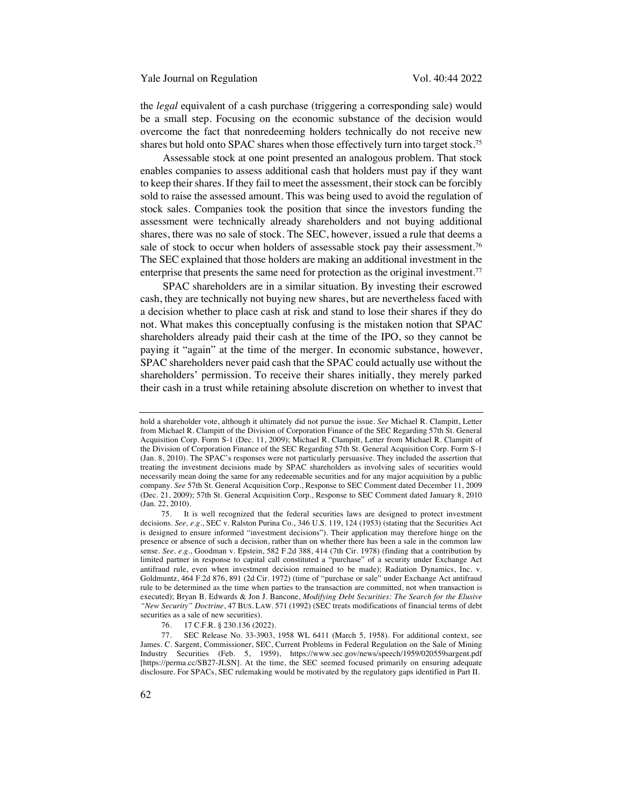the *legal* equivalent of a cash purchase (triggering a corresponding sale) would be a small step. Focusing on the economic substance of the decision would overcome the fact that nonredeeming holders technically do not receive new shares but hold onto SPAC shares when those effectively turn into target stock.75

Assessable stock at one point presented an analogous problem. That stock enables companies to assess additional cash that holders must pay if they want to keep their shares. If they fail to meet the assessment, their stock can be forcibly sold to raise the assessed amount. This was being used to avoid the regulation of stock sales. Companies took the position that since the investors funding the assessment were technically already shareholders and not buying additional shares, there was no sale of stock. The SEC, however, issued a rule that deems a sale of stock to occur when holders of assessable stock pay their assessment.<sup>76</sup> The SEC explained that those holders are making an additional investment in the enterprise that presents the same need for protection as the original investment.<sup>77</sup>

SPAC shareholders are in a similar situation. By investing their escrowed cash, they are technically not buying new shares, but are nevertheless faced with a decision whether to place cash at risk and stand to lose their shares if they do not. What makes this conceptually confusing is the mistaken notion that SPAC shareholders already paid their cash at the time of the IPO, so they cannot be paying it "again" at the time of the merger. In economic substance, however, SPAC shareholders never paid cash that the SPAC could actually use without the shareholders' permission. To receive their shares initially, they merely parked their cash in a trust while retaining absolute discretion on whether to invest that

hold a shareholder vote, although it ultimately did not pursue the issue. *See* Michael R. Clampitt, Letter from Michael R. Clampitt of the Division of Corporation Finance of the SEC Regarding 57th St. General Acquisition Corp. Form S-1 (Dec. 11, 2009); Michael R. Clampitt, Letter from Michael R. Clampitt of the Division of Corporation Finance of the SEC Regarding 57th St. General Acquisition Corp. Form S-1 (Jan. 8, 2010). The SPAC's responses were not particularly persuasive. They included the assertion that treating the investment decisions made by SPAC shareholders as involving sales of securities would necessarily mean doing the same for any redeemable securities and for any major acquisition by a public company*. See* 57th St. General Acquisition Corp., Response to SEC Comment dated December 11, 2009 (Dec. 21, 2009); 57th St. General Acquisition Corp., Response to SEC Comment dated January 8, 2010 (Jan. 22, 2010).

<sup>75.</sup> It is well recognized that the federal securities laws are designed to protect investment decisions. *See, e.g.*, SEC v. Ralston Purina Co., 346 U.S. 119, 124 (1953) (stating that the Securities Act is designed to ensure informed "investment decisions"). Their application may therefore hinge on the presence or absence of such a decision, rather than on whether there has been a sale in the common law sense. *See, e.g.*, Goodman v. Epstein, 582 F.2d 388, 414 (7th Cir. 1978) (finding that a contribution by limited partner in response to capital call constituted a "purchase" of a security under Exchange Act antifraud rule, even when investment decision remained to be made); Radiation Dynamics, Inc. v. Goldmuntz, 464 F.2d 876, 891 (2d Cir. 1972) (time of "purchase or sale" under Exchange Act antifraud rule to be determined as the time when parties to the transaction are committed, not when transaction is executed); Bryan B. Edwards & Jon J. Bancone, *Modifying Debt Securities: The Search for the Elusive "New Security" Doctrine*, 47 BUS. LAW. 571 (1992) (SEC treats modifications of financial terms of debt securities as a sale of new securities).

<sup>76.</sup> 17 C.F.R. § 230.136 (2022).

<sup>77.</sup> SEC Release No. 33-3903, 1958 WL 6411 (March 5, 1958). For additional context, see James. C. Sargent, Commissioner, SEC, Current Problems in Federal Regulation on the Sale of Mining Industry Securities (Feb. 5, 1959), https://www.sec.gov/news/speech/1959/020559sargent.pdf [https://perma.cc/SB27-JLSN]. At the time, the SEC seemed focused primarily on ensuring adequate disclosure. For SPACs, SEC rulemaking would be motivated by the regulatory gaps identified in Part II.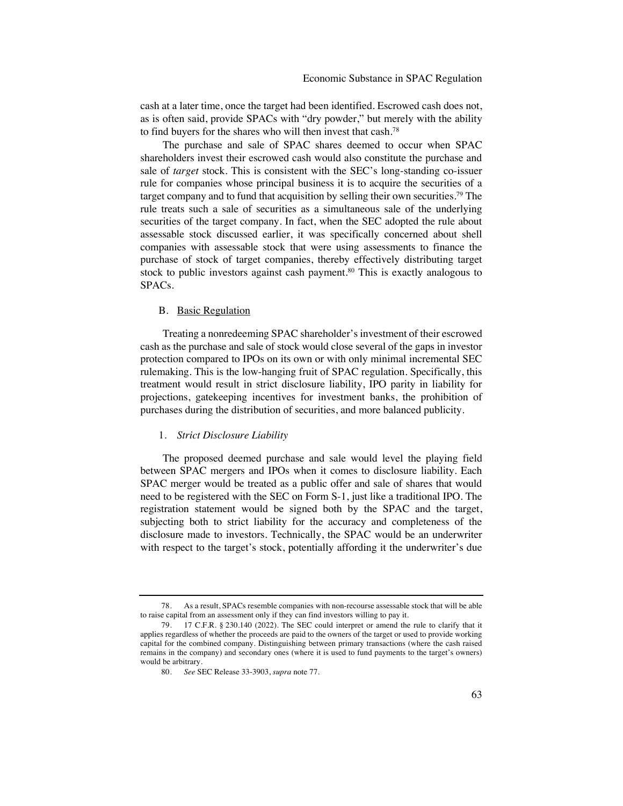cash at a later time, once the target had been identified. Escrowed cash does not, as is often said, provide SPACs with "dry powder," but merely with the ability to find buyers for the shares who will then invest that cash.78

The purchase and sale of SPAC shares deemed to occur when SPAC shareholders invest their escrowed cash would also constitute the purchase and sale of *target* stock. This is consistent with the SEC's long-standing co-issuer rule for companies whose principal business it is to acquire the securities of a target company and to fund that acquisition by selling their own securities.79 The rule treats such a sale of securities as a simultaneous sale of the underlying securities of the target company. In fact, when the SEC adopted the rule about assessable stock discussed earlier, it was specifically concerned about shell companies with assessable stock that were using assessments to finance the purchase of stock of target companies, thereby effectively distributing target stock to public investors against cash payment.<sup>80</sup> This is exactly analogous to SPACs.

# B. Basic Regulation

Treating a nonredeeming SPAC shareholder's investment of their escrowed cash as the purchase and sale of stock would close several of the gaps in investor protection compared to IPOs on its own or with only minimal incremental SEC rulemaking. This is the low-hanging fruit of SPAC regulation. Specifically, this treatment would result in strict disclosure liability, IPO parity in liability for projections, gatekeeping incentives for investment banks, the prohibition of purchases during the distribution of securities, and more balanced publicity.

# 1. *Strict Disclosure Liability*

The proposed deemed purchase and sale would level the playing field between SPAC mergers and IPOs when it comes to disclosure liability. Each SPAC merger would be treated as a public offer and sale of shares that would need to be registered with the SEC on Form S-1, just like a traditional IPO. The registration statement would be signed both by the SPAC and the target, subjecting both to strict liability for the accuracy and completeness of the disclosure made to investors. Technically, the SPAC would be an underwriter with respect to the target's stock, potentially affording it the underwriter's due

<sup>78.</sup> As a result, SPACs resemble companies with non-recourse assessable stock that will be able to raise capital from an assessment only if they can find investors willing to pay it.

<sup>79.</sup> 17 C.F.R. § 230.140 (2022). The SEC could interpret or amend the rule to clarify that it applies regardless of whether the proceeds are paid to the owners of the target or used to provide working capital for the combined company. Distinguishing between primary transactions (where the cash raised remains in the company) and secondary ones (where it is used to fund payments to the target's owners) would be arbitrary.

<sup>80.</sup> *See* SEC Release 33-3903, *supra* note 77.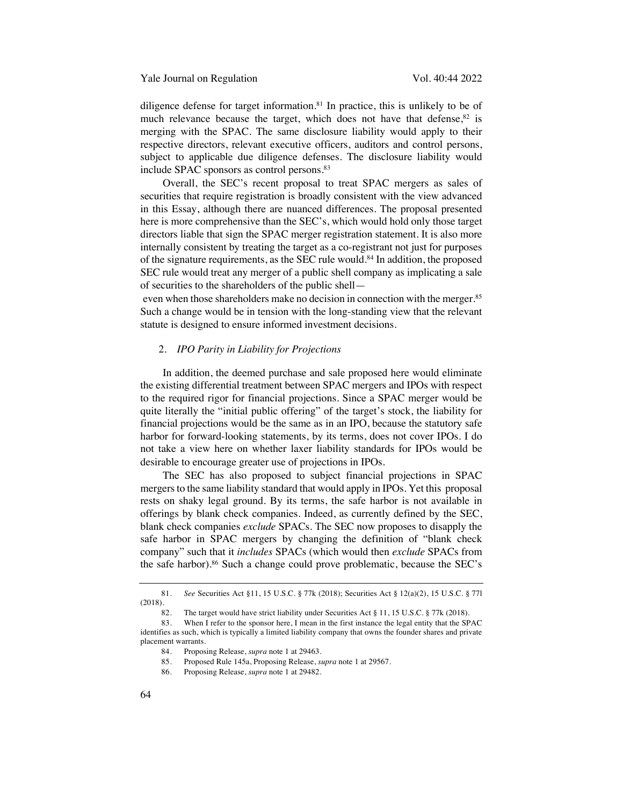diligence defense for target information.81 In practice, this is unlikely to be of much relevance because the target, which does not have that defense, $82$  is merging with the SPAC. The same disclosure liability would apply to their respective directors, relevant executive officers, auditors and control persons, subject to applicable due diligence defenses. The disclosure liability would include SPAC sponsors as control persons.<sup>83</sup>

Overall, the SEC's recent proposal to treat SPAC mergers as sales of securities that require registration is broadly consistent with the view advanced in this Essay, although there are nuanced differences. The proposal presented here is more comprehensive than the SEC's, which would hold only those target directors liable that sign the SPAC merger registration statement. It is also more internally consistent by treating the target as a co-registrant not just for purposes of the signature requirements, as the SEC rule would.84 In addition, the proposed SEC rule would treat any merger of a public shell company as implicating a sale of securities to the shareholders of the public shell—

even when those shareholders make no decision in connection with the merger.<sup>85</sup> Such a change would be in tension with the long-standing view that the relevant statute is designed to ensure informed investment decisions.

# 2. *IPO Parity in Liability for Projections*

In addition, the deemed purchase and sale proposed here would eliminate the existing differential treatment between SPAC mergers and IPOs with respect to the required rigor for financial projections. Since a SPAC merger would be quite literally the "initial public offering" of the target's stock, the liability for financial projections would be the same as in an IPO, because the statutory safe harbor for forward-looking statements, by its terms, does not cover IPOs. I do not take a view here on whether laxer liability standards for IPOs would be desirable to encourage greater use of projections in IPOs.

The SEC has also proposed to subject financial projections in SPAC mergers to the same liability standard that would apply in IPOs. Yet this proposal rests on shaky legal ground. By its terms, the safe harbor is not available in offerings by blank check companies. Indeed, as currently defined by the SEC, blank check companies *exclude* SPACs. The SEC now proposes to disapply the safe harbor in SPAC mergers by changing the definition of "blank check company" such that it *includes* SPACs (which would then *exclude* SPACs from the safe harbor).<sup>86</sup> Such a change could prove problematic, because the SEC's

<sup>81.</sup> *See* Securities Act §11, 15 U.S.C. § 77k (2018); Securities Act § 12(a)(2), 15 U.S.C. § 77l (2018).

<sup>82.</sup> The target would have strict liability under Securities Act § 11, 15 U.S.C. § 77k (2018).

<sup>83.</sup> When I refer to the sponsor here, I mean in the first instance the legal entity that the SPAC identifies as such, which is typically a limited liability company that owns the founder shares and private placement warrants.

<sup>84.</sup> Proposing Release, *supra* note 1 at 29463.

<sup>85.</sup> Proposed Rule 145a, Proposing Release, *supra* note 1 at 29567.

<sup>86.</sup> Proposing Release, *supra* note 1 at 29482.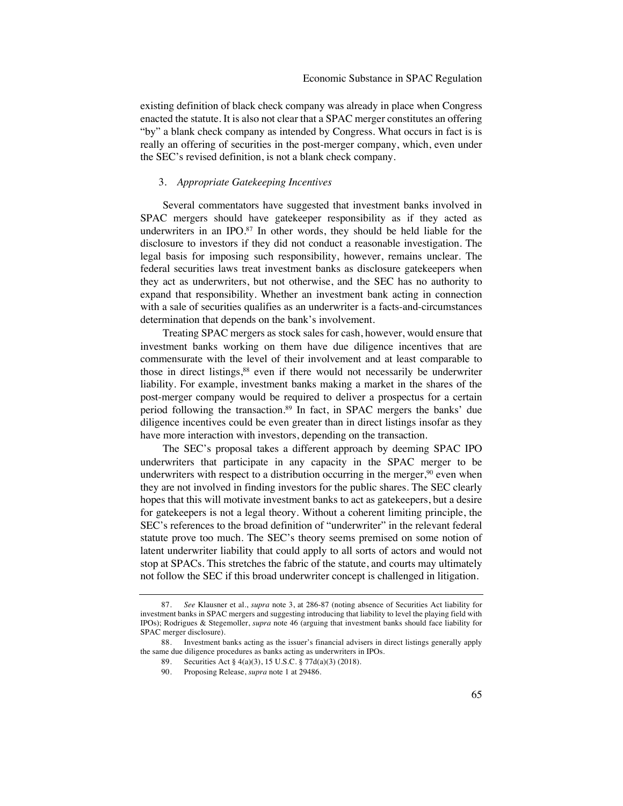existing definition of black check company was already in place when Congress enacted the statute. It is also not clear that a SPAC merger constitutes an offering "by" a blank check company as intended by Congress. What occurs in fact is is really an offering of securities in the post-merger company, which, even under the SEC's revised definition, is not a blank check company.

#### 3. *Appropriate Gatekeeping Incentives*

Several commentators have suggested that investment banks involved in SPAC mergers should have gatekeeper responsibility as if they acted as underwriters in an IPO.<sup>87</sup> In other words, they should be held liable for the disclosure to investors if they did not conduct a reasonable investigation. The legal basis for imposing such responsibility, however, remains unclear. The federal securities laws treat investment banks as disclosure gatekeepers when they act as underwriters, but not otherwise, and the SEC has no authority to expand that responsibility. Whether an investment bank acting in connection with a sale of securities qualifies as an underwriter is a facts-and-circumstances determination that depends on the bank's involvement.

Treating SPAC mergers as stock sales for cash, however, would ensure that investment banks working on them have due diligence incentives that are commensurate with the level of their involvement and at least comparable to those in direct listings,<sup>88</sup> even if there would not necessarily be underwriter liability. For example, investment banks making a market in the shares of the post-merger company would be required to deliver a prospectus for a certain period following the transaction.89 In fact, in SPAC mergers the banks' due diligence incentives could be even greater than in direct listings insofar as they have more interaction with investors, depending on the transaction.

The SEC's proposal takes a different approach by deeming SPAC IPO underwriters that participate in any capacity in the SPAC merger to be underwriters with respect to a distribution occurring in the merger,  $90$  even when they are not involved in finding investors for the public shares. The SEC clearly hopes that this will motivate investment banks to act as gatekeepers, but a desire for gatekeepers is not a legal theory. Without a coherent limiting principle, the SEC's references to the broad definition of "underwriter" in the relevant federal statute prove too much. The SEC's theory seems premised on some notion of latent underwriter liability that could apply to all sorts of actors and would not stop at SPACs. This stretches the fabric of the statute, and courts may ultimately not follow the SEC if this broad underwriter concept is challenged in litigation.

<sup>87.</sup> *See* Klausner et al., *supra* note 3, at 286-87 (noting absence of Securities Act liability for investment banks in SPAC mergers and suggesting introducing that liability to level the playing field with IPOs); Rodrigues & Stegemoller, *supra* note 46 (arguing that investment banks should face liability for SPAC merger disclosure).

<sup>88.</sup> Investment banks acting as the issuer's financial advisers in direct listings generally apply the same due diligence procedures as banks acting as underwriters in IPOs.

<sup>89.</sup> Securities Act § 4(a)(3), 15 U.S.C. § 77d(a)(3) (2018).

<sup>90.</sup> Proposing Release, *supra* note 1 at 29486.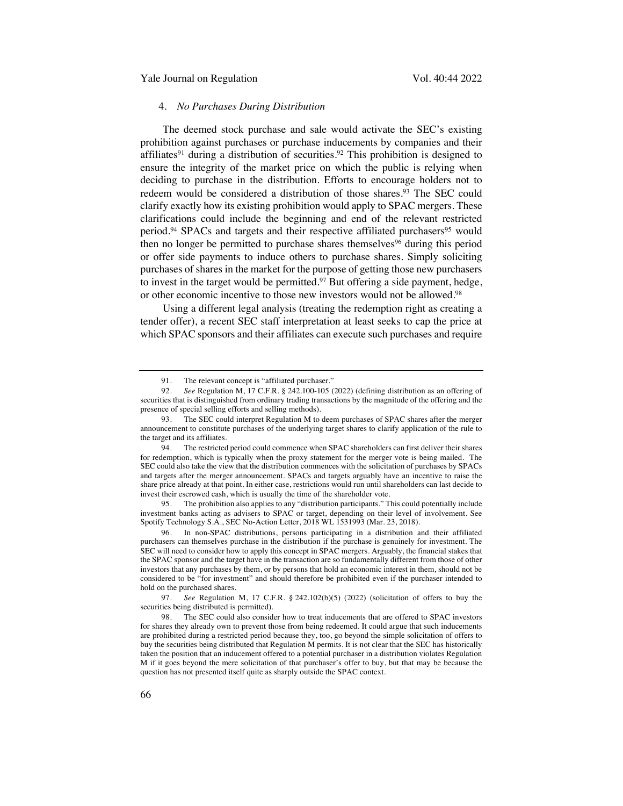# 4. *No Purchases During Distribution*

The deemed stock purchase and sale would activate the SEC's existing prohibition against purchases or purchase inducements by companies and their affiliates<sup>91</sup> during a distribution of securities.<sup>92</sup> This prohibition is designed to ensure the integrity of the market price on which the public is relying when deciding to purchase in the distribution. Efforts to encourage holders not to redeem would be considered a distribution of those shares.<sup>93</sup> The SEC could clarify exactly how its existing prohibition would apply to SPAC mergers. These clarifications could include the beginning and end of the relevant restricted period.<sup>94</sup> SPACs and targets and their respective affiliated purchasers<sup>95</sup> would then no longer be permitted to purchase shares themselves<sup>96</sup> during this period or offer side payments to induce others to purchase shares. Simply soliciting purchases of shares in the market for the purpose of getting those new purchasers to invest in the target would be permitted.<sup>97</sup> But offering a side payment, hedge, or other economic incentive to those new investors would not be allowed.98

Using a different legal analysis (treating the redemption right as creating a tender offer), a recent SEC staff interpretation at least seeks to cap the price at which SPAC sponsors and their affiliates can execute such purchases and require

95. The prohibition also applies to any "distribution participants." This could potentially include investment banks acting as advisers to SPAC or target, depending on their level of involvement. See Spotify Technology S.A., SEC No-Action Letter, 2018 WL 1531993 (Mar. 23, 2018).

96. In non-SPAC distributions, persons participating in a distribution and their affiliated purchasers can themselves purchase in the distribution if the purchase is genuinely for investment. The SEC will need to consider how to apply this concept in SPAC mergers. Arguably, the financial stakes that the SPAC sponsor and the target have in the transaction are so fundamentally different from those of other investors that any purchases by them, or by persons that hold an economic interest in them, should not be considered to be "for investment" and should therefore be prohibited even if the purchaser intended to hold on the purchased shares.

97. *See* Regulation M, 17 C.F.R. § 242.102(b)(5) (2022) (solicitation of offers to buy the securities being distributed is permitted).

<sup>91.</sup> The relevant concept is "affiliated purchaser."

<sup>92.</sup> *See* Regulation M, 17 C.F.R. § 242.100-105 (2022) (defining distribution as an offering of securities that is distinguished from ordinary trading transactions by the magnitude of the offering and the presence of special selling efforts and selling methods).

<sup>93.</sup> The SEC could interpret Regulation M to deem purchases of SPAC shares after the merger announcement to constitute purchases of the underlying target shares to clarify application of the rule to the target and its affiliates.

<sup>94.</sup> The restricted period could commence when SPAC shareholders can first deliver their shares for redemption, which is typically when the proxy statement for the merger vote is being mailed. The SEC could also take the view that the distribution commences with the solicitation of purchases by SPACs and targets after the merger announcement. SPACs and targets arguably have an incentive to raise the share price already at that point. In either case, restrictions would run until shareholders can last decide to invest their escrowed cash, which is usually the time of the shareholder vote.

<sup>98.</sup> The SEC could also consider how to treat inducements that are offered to SPAC investors for shares they already own to prevent those from being redeemed. It could argue that such inducements are prohibited during a restricted period because they, too, go beyond the simple solicitation of offers to buy the securities being distributed that Regulation M permits. It is not clear that the SEC has historically taken the position that an inducement offered to a potential purchaser in a distribution violates Regulation M if it goes beyond the mere solicitation of that purchaser's offer to buy, but that may be because the question has not presented itself quite as sharply outside the SPAC context.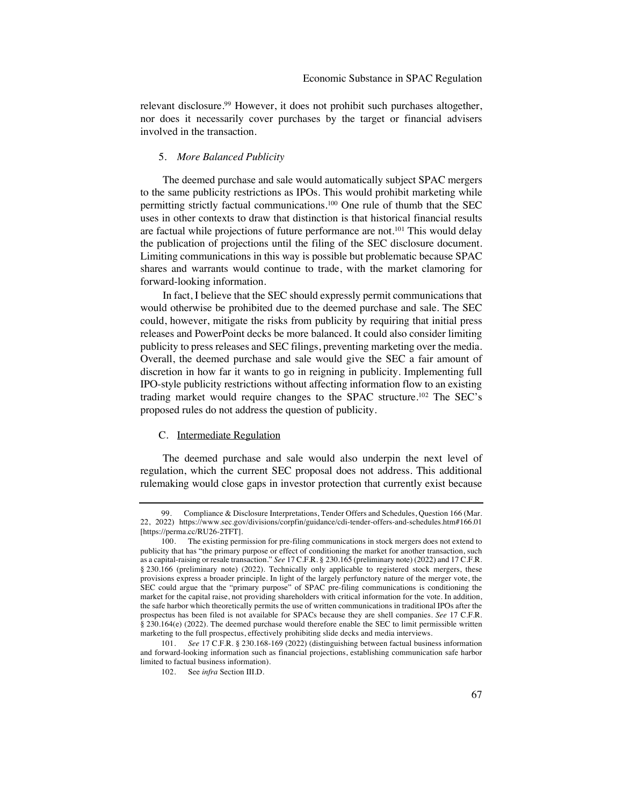relevant disclosure. <sup>99</sup> However, it does not prohibit such purchases altogether, nor does it necessarily cover purchases by the target or financial advisers involved in the transaction.

# 5. *More Balanced Publicity*

The deemed purchase and sale would automatically subject SPAC mergers to the same publicity restrictions as IPOs. This would prohibit marketing while permitting strictly factual communications.100 One rule of thumb that the SEC uses in other contexts to draw that distinction is that historical financial results are factual while projections of future performance are not.101 This would delay the publication of projections until the filing of the SEC disclosure document. Limiting communications in this way is possible but problematic because SPAC shares and warrants would continue to trade, with the market clamoring for forward-looking information.

In fact, I believe that the SEC should expressly permit communications that would otherwise be prohibited due to the deemed purchase and sale. The SEC could, however, mitigate the risks from publicity by requiring that initial press releases and PowerPoint decks be more balanced. It could also consider limiting publicity to press releases and SEC filings, preventing marketing over the media. Overall, the deemed purchase and sale would give the SEC a fair amount of discretion in how far it wants to go in reigning in publicity. Implementing full IPO-style publicity restrictions without affecting information flow to an existing trading market would require changes to the SPAC structure.102 The SEC's proposed rules do not address the question of publicity.

#### C. Intermediate Regulation

The deemed purchase and sale would also underpin the next level of regulation, which the current SEC proposal does not address. This additional rulemaking would close gaps in investor protection that currently exist because

Compliance & Disclosure Interpretations, Tender Offers and Schedules, Question 166 (Mar. 22, 2022) https://www.sec.gov/divisions/corpfin/guidance/cdi-tender-offers-and-schedules.htm#166.01 [https://perma.cc/RU26-2TFT].

<sup>100.</sup> The existing permission for pre-filing communications in stock mergers does not extend to publicity that has "the primary purpose or effect of conditioning the market for another transaction, such as a capital-raising or resale transaction." *See* 17 C.F.R. § 230.165 (preliminary note) (2022) and 17 C.F.R. § 230.166 (preliminary note) (2022). Technically only applicable to registered stock mergers, these provisions express a broader principle. In light of the largely perfunctory nature of the merger vote, the SEC could argue that the "primary purpose" of SPAC pre-filing communications is conditioning the market for the capital raise, not providing shareholders with critical information for the vote. In addition, the safe harbor which theoretically permits the use of written communications in traditional IPOs after the prospectus has been filed is not available for SPACs because they are shell companies. *See* 17 C.F.R. § 230.164(e) (2022). The deemed purchase would therefore enable the SEC to limit permissible written marketing to the full prospectus, effectively prohibiting slide decks and media interviews.

<sup>101.</sup> *See* 17 C.F.R. § 230.168-169 (2022) (distinguishing between factual business information and forward-looking information such as financial projections, establishing communication safe harbor limited to factual business information).

<sup>102.</sup> See *infra* Section III.D.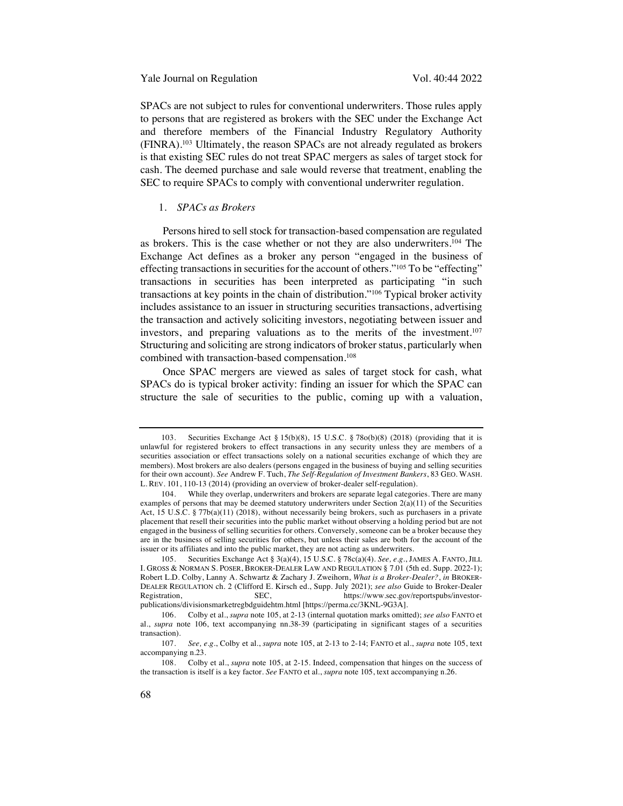SPACs are not subject to rules for conventional underwriters. Those rules apply to persons that are registered as brokers with the SEC under the Exchange Act and therefore members of the Financial Industry Regulatory Authority (FINRA). <sup>103</sup> Ultimately, the reason SPACs are not already regulated as brokers is that existing SEC rules do not treat SPAC mergers as sales of target stock for cash. The deemed purchase and sale would reverse that treatment, enabling the SEC to require SPACs to comply with conventional underwriter regulation.

#### 1. *SPACs as Brokers*

Persons hired to sell stock for transaction-based compensation are regulated as brokers. This is the case whether or not they are also underwriters.104 The Exchange Act defines as a broker any person "engaged in the business of effecting transactions in securities for the account of others."105 To be "effecting" transactions in securities has been interpreted as participating "in such transactions at key points in the chain of distribution."106 Typical broker activity includes assistance to an issuer in structuring securities transactions, advertising the transaction and actively soliciting investors, negotiating between issuer and investors, and preparing valuations as to the merits of the investment.107 Structuring and soliciting are strong indicators of broker status, particularly when combined with transaction-based compensation.108

Once SPAC mergers are viewed as sales of target stock for cash, what SPACs do is typical broker activity: finding an issuer for which the SPAC can structure the sale of securities to the public, coming up with a valuation,

<sup>103.</sup> Securities Exchange Act § 15(b)(8), 15 U.S.C. § 78o(b)(8) (2018) (providing that it is unlawful for registered brokers to effect transactions in any security unless they are members of a securities association or effect transactions solely on a national securities exchange of which they are members). Most brokers are also dealers (persons engaged in the business of buying and selling securities for their own account). *See* Andrew F. Tuch, *The Self-Regulation of Investment Bankers*, 83 GEO. WASH. L. REV. 101, 110-13 (2014) (providing an overview of broker-dealer self-regulation).

<sup>104.</sup> While they overlap, underwriters and brokers are separate legal categories. There are many examples of persons that may be deemed statutory underwriters under Section 2(a)(11) of the Securities Act, 15 U.S.C. § 77b(a)(11) (2018), without necessarily being brokers, such as purchasers in a private placement that resell their securities into the public market without observing a holding period but are not engaged in the business of selling securities for others. Conversely, someone can be a broker because they are in the business of selling securities for others, but unless their sales are both for the account of the issuer or its affiliates and into the public market, they are not acting as underwriters.

<sup>105.</sup> Securities Exchange Act § 3(a)(4), 15 U.S.C. § 78c(a)(4). *See, e.g.*, JAMES A. FANTO, JILL I. GROSS & NORMAN S. POSER, BROKER-DEALER LAW AND REGULATION § 7.01 (5th ed. Supp. 2022-1); Robert L.D. Colby, Lanny A. Schwartz & Zachary J. Zweihorn, *What is a Broker-Dealer?*, *in* BROKER-DEALER REGULATION ch. 2 (Clifford E. Kirsch ed., Supp. July 2021); *see also* Guide to Broker-Dealer Registration, SEC, https://www.sec.gov/reportspubs/investorpublications/divisionsmarketregbdguidehtm.html [https://perma.cc/3KNL-9G3A].

<sup>106.</sup> Colby et al., *supra* note 105, at 2-13 (internal quotation marks omitted); *see also* FANTO et al., *supra* note 106, text accompanying nn.38-39 (participating in significant stages of a securities transaction).

<sup>107.</sup> *See, e.g.*, Colby et al., *supra* note 105, at 2-13 to 2-14; FANTO et al., *supra* note 105, text accompanying n.23.

<sup>108.</sup> Colby et al., *supra* note 105, at 2-15. Indeed, compensation that hinges on the success of the transaction is itself is a key factor. *See* FANTO et al., *supra* note 105, text accompanying n.26.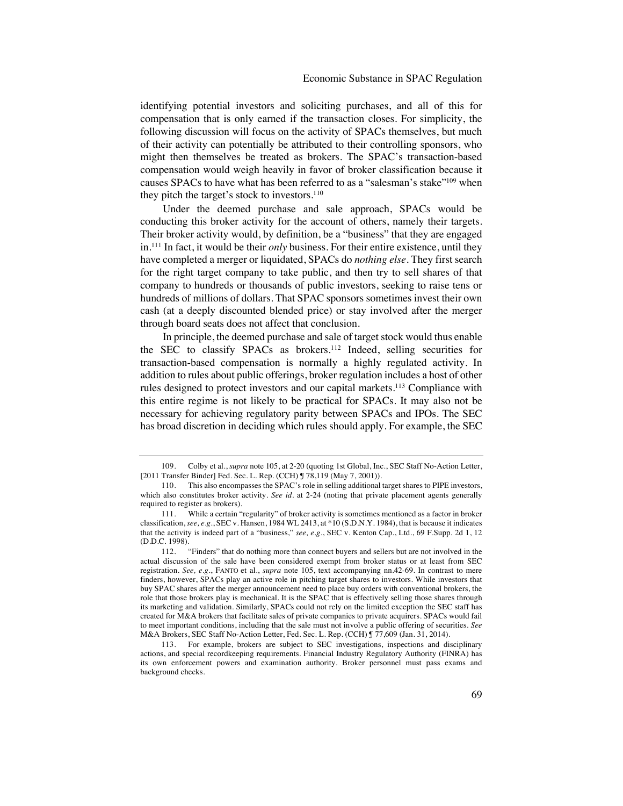identifying potential investors and soliciting purchases, and all of this for compensation that is only earned if the transaction closes. For simplicity, the following discussion will focus on the activity of SPACs themselves, but much of their activity can potentially be attributed to their controlling sponsors, who might then themselves be treated as brokers. The SPAC's transaction-based compensation would weigh heavily in favor of broker classification because it causes SPACs to have what has been referred to as a "salesman's stake"109 when they pitch the target's stock to investors.<sup>110</sup>

Under the deemed purchase and sale approach, SPACs would be conducting this broker activity for the account of others, namely their targets. Their broker activity would, by definition, be a "business" that they are engaged in.111 In fact, it would be their *only* business. For their entire existence, until they have completed a merger or liquidated, SPACs do *nothing else*. They first search for the right target company to take public, and then try to sell shares of that company to hundreds or thousands of public investors, seeking to raise tens or hundreds of millions of dollars. That SPAC sponsors sometimes invest their own cash (at a deeply discounted blended price) or stay involved after the merger through board seats does not affect that conclusion.

In principle, the deemed purchase and sale of target stock would thus enable the SEC to classify SPACs as brokers.112 Indeed, selling securities for transaction-based compensation is normally a highly regulated activity. In addition to rules about public offerings, broker regulation includes a host of other rules designed to protect investors and our capital markets.113 Compliance with this entire regime is not likely to be practical for SPACs. It may also not be necessary for achieving regulatory parity between SPACs and IPOs. The SEC has broad discretion in deciding which rules should apply. For example, the SEC

<sup>109.</sup> Colby et al., *supra* note 105, at 2-20 (quoting 1st Global, Inc., SEC Staff No-Action Letter, [2011 Transfer Binder] Fed. Sec. L. Rep. (CCH) ¶ 78,119 (May 7, 2001)).

<sup>110.</sup> This also encompasses the SPAC's role in selling additional target shares to PIPE investors, which also constitutes broker activity. *See id.* at 2-24 (noting that private placement agents generally required to register as brokers).

<sup>111.</sup> While a certain "regularity" of broker activity is sometimes mentioned as a factor in broker classification, *see, e.g.*, SEC v. Hansen, 1984 WL 2413, at \*10 (S.D.N.Y. 1984), that is because it indicates that the activity is indeed part of a "business," *see, e.g.*, SEC v. Kenton Cap., Ltd., 69 F.Supp. 2d 1, 12 (D.D.C. 1998).

<sup>112.</sup> "Finders" that do nothing more than connect buyers and sellers but are not involved in the actual discussion of the sale have been considered exempt from broker status or at least from SEC registration. *See, e.g.*, FANTO et al., *supra* note 105, text accompanying nn.42-69. In contrast to mere finders, however, SPACs play an active role in pitching target shares to investors. While investors that buy SPAC shares after the merger announcement need to place buy orders with conventional brokers, the role that those brokers play is mechanical. It is the SPAC that is effectively selling those shares through its marketing and validation. Similarly, SPACs could not rely on the limited exception the SEC staff has created for M&A brokers that facilitate sales of private companies to private acquirers. SPACs would fail to meet important conditions, including that the sale must not involve a public offering of securities. *See*  M&A Brokers, SEC Staff No-Action Letter, Fed. Sec. L. Rep. (CCH) ¶ 77,609 (Jan. 31, 2014).

<sup>113.</sup> For example, brokers are subject to SEC investigations, inspections and disciplinary actions, and special recordkeeping requirements. Financial Industry Regulatory Authority (FINRA) has its own enforcement powers and examination authority. Broker personnel must pass exams and background checks.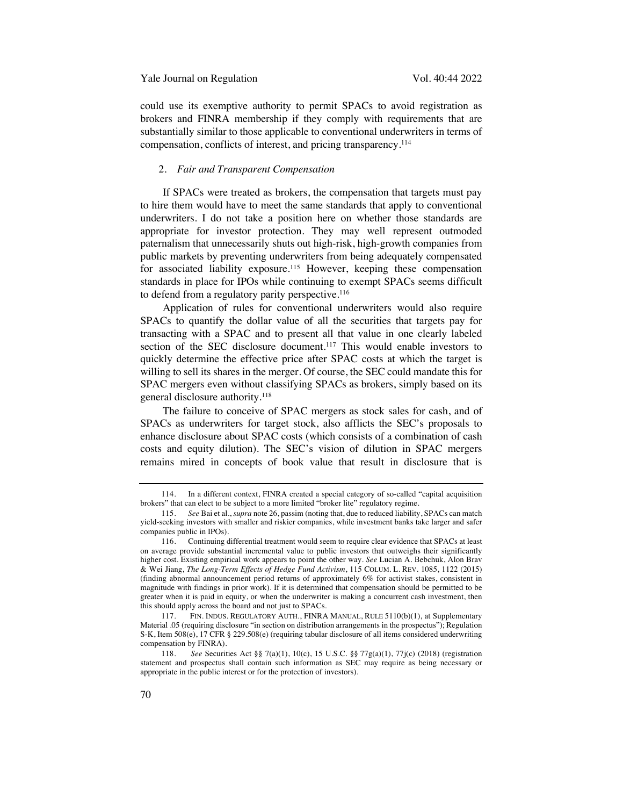could use its exemptive authority to permit SPACs to avoid registration as brokers and FINRA membership if they comply with requirements that are substantially similar to those applicable to conventional underwriters in terms of compensation, conflicts of interest, and pricing transparency.114

#### 2. *Fair and Transparent Compensation*

If SPACs were treated as brokers, the compensation that targets must pay to hire them would have to meet the same standards that apply to conventional underwriters. I do not take a position here on whether those standards are appropriate for investor protection. They may well represent outmoded paternalism that unnecessarily shuts out high-risk, high-growth companies from public markets by preventing underwriters from being adequately compensated for associated liability exposure.<sup>115</sup> However, keeping these compensation standards in place for IPOs while continuing to exempt SPACs seems difficult to defend from a regulatory parity perspective.<sup>116</sup>

Application of rules for conventional underwriters would also require SPACs to quantify the dollar value of all the securities that targets pay for transacting with a SPAC and to present all that value in one clearly labeled section of the SEC disclosure document.<sup>117</sup> This would enable investors to quickly determine the effective price after SPAC costs at which the target is willing to sell its shares in the merger. Of course, the SEC could mandate this for SPAC mergers even without classifying SPACs as brokers, simply based on its general disclosure authority.118

The failure to conceive of SPAC mergers as stock sales for cash, and of SPACs as underwriters for target stock, also afflicts the SEC's proposals to enhance disclosure about SPAC costs (which consists of a combination of cash costs and equity dilution). The SEC's vision of dilution in SPAC mergers remains mired in concepts of book value that result in disclosure that is

<sup>114.</sup> In a different context, FINRA created a special category of so-called "capital acquisition brokers" that can elect to be subject to a more limited "broker lite" regulatory regime.

<sup>115.</sup> *See* Bai et al., *supra* note 26, passim (noting that, due to reduced liability, SPACs can match yield-seeking investors with smaller and riskier companies, while investment banks take larger and safer companies public in IPOs).

<sup>116.</sup> Continuing differential treatment would seem to require clear evidence that SPACs at least on average provide substantial incremental value to public investors that outweighs their significantly higher cost. Existing empirical work appears to point the other way. *See* Lucian A. Bebchuk, Alon Brav & Wei Jiang, *The Long-Term Effects of Hedge Fund Activism*, 115 COLUM. L. REV. 1085, 1122 (2015) (finding abnormal announcement period returns of approximately 6% for activist stakes, consistent in magnitude with findings in prior work). If it is determined that compensation should be permitted to be greater when it is paid in equity, or when the underwriter is making a concurrent cash investment, then this should apply across the board and not just to SPACs.

<sup>117.</sup> FIN. INDUS. REGULATORY AUTH., FINRA MANUAL, RULE 5110(b)(1), at Supplementary Material .05 (requiring disclosure "in section on distribution arrangements in the prospectus"); Regulation S-K, Item 508(e), 17 CFR § 229.508(e) (requiring tabular disclosure of all items considered underwriting compensation by FINRA).

<sup>118.</sup> *See* Securities Act §§ 7(a)(1), 10(c), 15 U.S.C. §§ 77g(a)(1), 77j(c) (2018) (registration statement and prospectus shall contain such information as SEC may require as being necessary or appropriate in the public interest or for the protection of investors).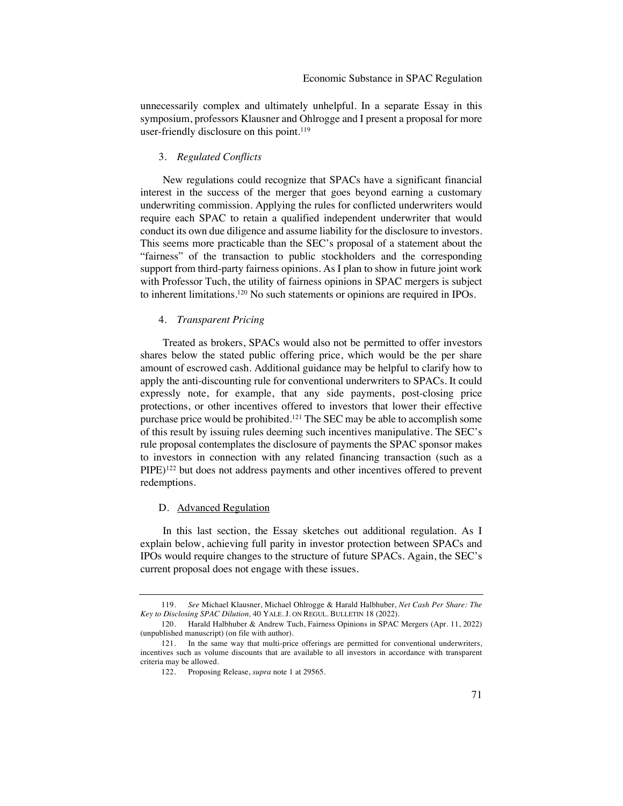unnecessarily complex and ultimately unhelpful. In a separate Essay in this symposium, professors Klausner and Ohlrogge and I present a proposal for more user-friendly disclosure on this point.<sup>119</sup>

# 3. *Regulated Conflicts*

New regulations could recognize that SPACs have a significant financial interest in the success of the merger that goes beyond earning a customary underwriting commission. Applying the rules for conflicted underwriters would require each SPAC to retain a qualified independent underwriter that would conduct its own due diligence and assume liability for the disclosure to investors. This seems more practicable than the SEC's proposal of a statement about the "fairness" of the transaction to public stockholders and the corresponding support from third-party fairness opinions. As I plan to show in future joint work with Professor Tuch, the utility of fairness opinions in SPAC mergers is subject to inherent limitations. <sup>120</sup> No such statements or opinions are required in IPOs.

#### 4. *Transparent Pricing*

Treated as brokers, SPACs would also not be permitted to offer investors shares below the stated public offering price, which would be the per share amount of escrowed cash. Additional guidance may be helpful to clarify how to apply the anti-discounting rule for conventional underwriters to SPACs. It could expressly note, for example, that any side payments, post-closing price protections, or other incentives offered to investors that lower their effective purchase price would be prohibited.121 The SEC may be able to accomplish some of this result by issuing rules deeming such incentives manipulative. The SEC's rule proposal contemplates the disclosure of payments the SPAC sponsor makes to investors in connection with any related financing transaction (such as a PIPE)<sup>122</sup> but does not address payments and other incentives offered to prevent redemptions.

#### D. Advanced Regulation

In this last section, the Essay sketches out additional regulation. As I explain below, achieving full parity in investor protection between SPACs and IPOs would require changes to the structure of future SPACs. Again, the SEC's current proposal does not engage with these issues.

<sup>119.</sup> *See* Michael Klausner, Michael Ohlrogge & Harald Halbhuber, *Net Cash Per Share: The Key to Disclosing SPAC Dilution,* 40 YALE. J. ON REGUL. BULLETIN 18 (2022).

<sup>120.</sup> Harald Halbhuber & Andrew Tuch, Fairness Opinions in SPAC Mergers (Apr. 11, 2022) (unpublished manuscript) (on file with author).

<sup>121.</sup> In the same way that multi-price offerings are permitted for conventional underwriters, incentives such as volume discounts that are available to all investors in accordance with transparent criteria may be allowed.

<sup>122.</sup> Proposing Release, *supra* note 1 at 29565.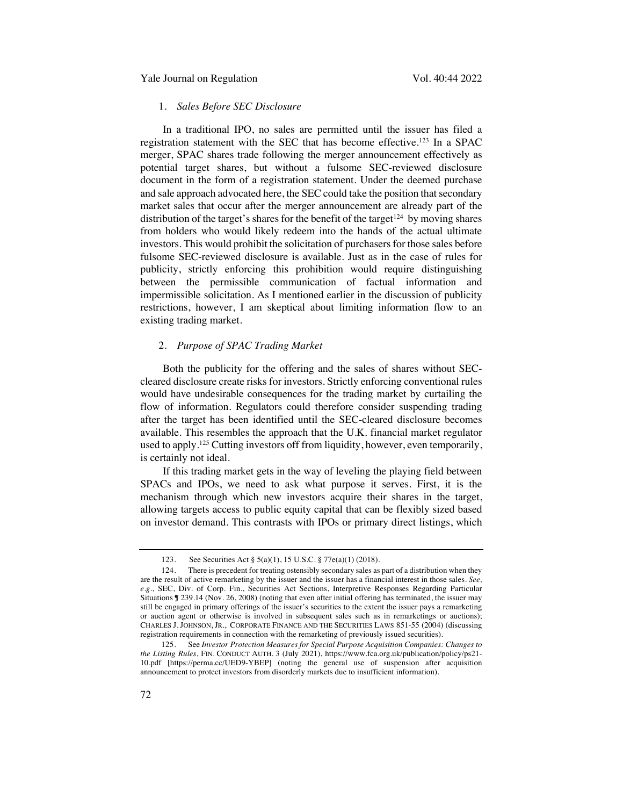# 1. *Sales Before SEC Disclosure*

In a traditional IPO, no sales are permitted until the issuer has filed a registration statement with the SEC that has become effective.123 In a SPAC merger, SPAC shares trade following the merger announcement effectively as potential target shares, but without a fulsome SEC-reviewed disclosure document in the form of a registration statement. Under the deemed purchase and sale approach advocated here, the SEC could take the position that secondary market sales that occur after the merger announcement are already part of the distribution of the target's shares for the benefit of the target<sup> $124$ </sup> by moving shares from holders who would likely redeem into the hands of the actual ultimate investors. This would prohibit the solicitation of purchasers for those sales before fulsome SEC-reviewed disclosure is available. Just as in the case of rules for publicity, strictly enforcing this prohibition would require distinguishing between the permissible communication of factual information and impermissible solicitation. As I mentioned earlier in the discussion of publicity restrictions, however, I am skeptical about limiting information flow to an existing trading market.

#### 2. *Purpose of SPAC Trading Market*

Both the publicity for the offering and the sales of shares without SECcleared disclosure create risks for investors. Strictly enforcing conventional rules would have undesirable consequences for the trading market by curtailing the flow of information. Regulators could therefore consider suspending trading after the target has been identified until the SEC-cleared disclosure becomes available. This resembles the approach that the U.K. financial market regulator used to apply.125 Cutting investors off from liquidity, however, even temporarily, is certainly not ideal.

If this trading market gets in the way of leveling the playing field between SPACs and IPOs, we need to ask what purpose it serves. First, it is the mechanism through which new investors acquire their shares in the target, allowing targets access to public equity capital that can be flexibly sized based on investor demand. This contrasts with IPOs or primary direct listings, which

<sup>123.</sup> See Securities Act § 5(a)(1), 15 U.S.C. § 77e(a)(1) (2018).

<sup>124.</sup> There is precedent for treating ostensibly secondary sales as part of a distribution when they are the result of active remarketing by the issuer and the issuer has a financial interest in those sales. *See, e.g.*, SEC, Div. of Corp. Fin., Securities Act Sections, Interpretive Responses Regarding Particular Situations ¶ 239.14 (Nov. 26, 2008) (noting that even after initial offering has terminated, the issuer may still be engaged in primary offerings of the issuer's securities to the extent the issuer pays a remarketing or auction agent or otherwise is involved in subsequent sales such as in remarketings or auctions); CHARLES J. JOHNSON, JR., CORPORATE FINANCE AND THE SECURITIES LAWS 851-55 (2004) (discussing registration requirements in connection with the remarketing of previously issued securities).

<sup>125.</sup> See *Investor Protection Measures for Special Purpose Acquisition Companies: Changes to the Listing Rules*, FIN. CONDUCT AUTH. 3 (July 2021), https://www.fca.org.uk/publication/policy/ps21- 10.pdf [https://perma.cc/UED9-YBEP] (noting the general use of suspension after acquisition announcement to protect investors from disorderly markets due to insufficient information).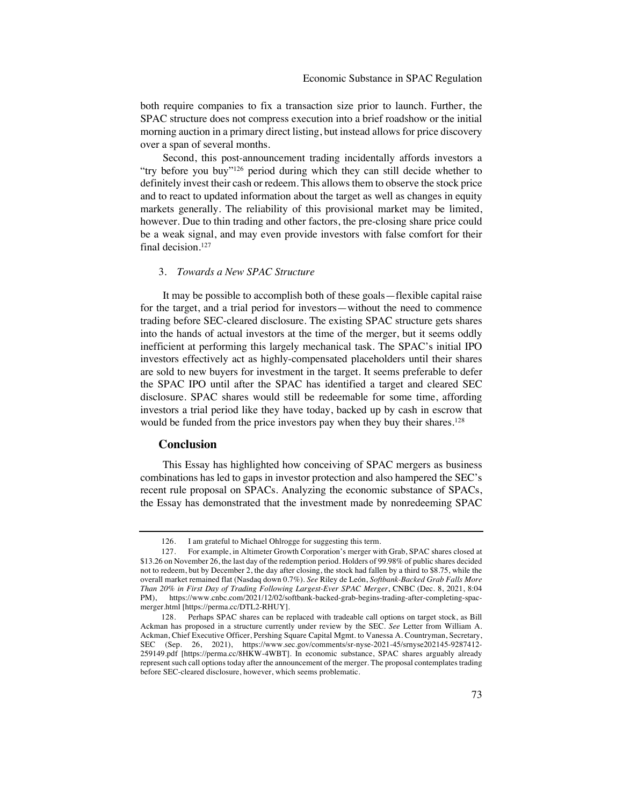both require companies to fix a transaction size prior to launch. Further, the SPAC structure does not compress execution into a brief roadshow or the initial morning auction in a primary direct listing, but instead allows for price discovery over a span of several months.

Second, this post-announcement trading incidentally affords investors a "try before you buy"126 period during which they can still decide whether to definitely invest their cash or redeem. This allows them to observe the stock price and to react to updated information about the target as well as changes in equity markets generally. The reliability of this provisional market may be limited, however. Due to thin trading and other factors, the pre-closing share price could be a weak signal, and may even provide investors with false comfort for their final decision.<sup>127</sup>

#### 3. *Towards a New SPAC Structure*

It may be possible to accomplish both of these goals—flexible capital raise for the target, and a trial period for investors—without the need to commence trading before SEC-cleared disclosure. The existing SPAC structure gets shares into the hands of actual investors at the time of the merger, but it seems oddly inefficient at performing this largely mechanical task. The SPAC's initial IPO investors effectively act as highly-compensated placeholders until their shares are sold to new buyers for investment in the target. It seems preferable to defer the SPAC IPO until after the SPAC has identified a target and cleared SEC disclosure. SPAC shares would still be redeemable for some time, affording investors a trial period like they have today, backed up by cash in escrow that would be funded from the price investors pay when they buy their shares.<sup>128</sup>

#### **Conclusion**

This Essay has highlighted how conceiving of SPAC mergers as business combinations has led to gaps in investor protection and also hampered the SEC's recent rule proposal on SPACs. Analyzing the economic substance of SPACs, the Essay has demonstrated that the investment made by nonredeeming SPAC

<sup>126.</sup> I am grateful to Michael Ohlrogge for suggesting this term.

<sup>127.</sup> For example, in Altimeter Growth Corporation's merger with Grab, SPAC shares closed at \$13.26 on November 26, the last day of the redemption period. Holders of 99.98% of public shares decided not to redeem, but by December 2, the day after closing, the stock had fallen by a third to \$8.75, while the overall market remained flat (Nasdaq down 0.7%). *See* Riley de León, *Softbank-Backed Grab Falls More Than 20% in First Day of Trading Following Largest-Ever SPAC Merger*, CNBC (Dec. 8, 2021, 8:04 PM), https://www.cnbc.com/2021/12/02/softbank-backed-grab-begins-trading-after-completing-spacmerger.html [https://perma.cc/DTL2-RHUY].

<sup>128.</sup> Perhaps SPAC shares can be replaced with tradeable call options on target stock, as Bill Ackman has proposed in a structure currently under review by the SEC. *See* Letter from William A. Ackman, Chief Executive Officer, Pershing Square Capital Mgmt. to Vanessa A. Countryman, Secretary, SEC (Sep. 26, 2021), https://www.sec.gov/comments/sr-nyse-2021-45/srnyse202145-9287412- 259149.pdf [https://perma.cc/8HKW-4WBT]. In economic substance, SPAC shares arguably already represent such call options today after the announcement of the merger. The proposal contemplates trading before SEC-cleared disclosure, however, which seems problematic.